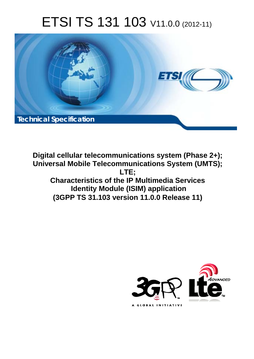# ETSI TS 131 103 V11.0.0 (2012-11)



**Digital cellular telecommunications system (Phase 2+); Universal Mobile Telecommunications System (UMTS); LTE; Characteristics of the IP Multimedia Services Identity Module (ISIM) application (3GPP TS 31.103 version 11.0.0 Release 11)** 

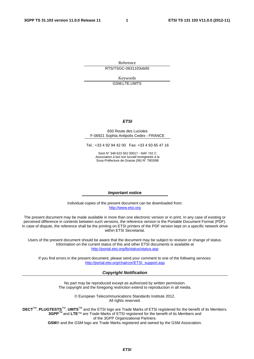Reference RTS/TSGC-0631103vb00

> Keywords GSM,LTE,UMTS

#### *ETSI*

#### 650 Route des Lucioles F-06921 Sophia Antipolis Cedex - FRANCE

Tel.: +33 4 92 94 42 00 Fax: +33 4 93 65 47 16

Siret N° 348 623 562 00017 - NAF 742 C Association à but non lucratif enregistrée à la Sous-Préfecture de Grasse (06) N° 7803/88

#### *Important notice*

Individual copies of the present document can be downloaded from: [http://www.etsi.org](http://www.etsi.org/)

The present document may be made available in more than one electronic version or in print. In any case of existing or perceived difference in contents between such versions, the reference version is the Portable Document Format (PDF). In case of dispute, the reference shall be the printing on ETSI printers of the PDF version kept on a specific network drive within ETSI Secretariat.

Users of the present document should be aware that the document may be subject to revision or change of status. Information on the current status of this and other ETSI documents is available at <http://portal.etsi.org/tb/status/status.asp>

If you find errors in the present document, please send your comment to one of the following services: [http://portal.etsi.org/chaircor/ETSI\\_support.asp](http://portal.etsi.org/chaircor/ETSI_support.asp)

#### *Copyright Notification*

No part may be reproduced except as authorized by written permission. The copyright and the foregoing restriction extend to reproduction in all media.

> © European Telecommunications Standards Institute 2012. All rights reserved.

**DECT**TM, **PLUGTESTS**TM, **UMTS**TM and the ETSI logo are Trade Marks of ETSI registered for the benefit of its Members. **3GPP**TM and **LTE**™ are Trade Marks of ETSI registered for the benefit of its Members and of the 3GPP Organizational Partners.

**GSM**® and the GSM logo are Trade Marks registered and owned by the GSM Association.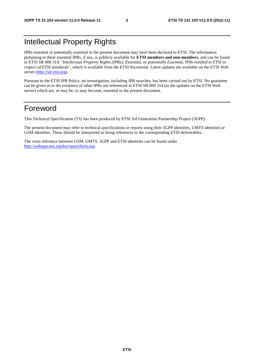## Intellectual Property Rights

IPRs essential or potentially essential to the present document may have been declared to ETSI. The information pertaining to these essential IPRs, if any, is publicly available for **ETSI members and non-members**, and can be found in ETSI SR 000 314: *"Intellectual Property Rights (IPRs); Essential, or potentially Essential, IPRs notified to ETSI in respect of ETSI standards"*, which is available from the ETSI Secretariat. Latest updates are available on the ETSI Web server [\(http://ipr.etsi.org\)](http://webapp.etsi.org/IPR/home.asp).

Pursuant to the ETSI IPR Policy, no investigation, including IPR searches, has been carried out by ETSI. No guarantee can be given as to the existence of other IPRs not referenced in ETSI SR 000 314 (or the updates on the ETSI Web server) which are, or may be, or may become, essential to the present document.

## Foreword

This Technical Specification (TS) has been produced by ETSI 3rd Generation Partnership Project (3GPP).

The present document may refer to technical specifications or reports using their 3GPP identities, UMTS identities or GSM identities. These should be interpreted as being references to the corresponding ETSI deliverables.

The cross reference between GSM, UMTS, 3GPP and ETSI identities can be found under [http://webapp.etsi.org/key/queryform.asp.](http://webapp.etsi.org/key/queryform.asp)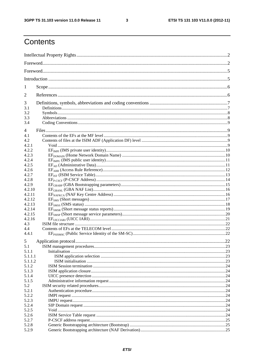$\mathbf{3}$ 

## Contents

| 1              |                      |      |
|----------------|----------------------|------|
| 2              |                      |      |
| 3              |                      |      |
| 3.1            |                      |      |
| 3.2            |                      |      |
| 3.3            |                      |      |
| 3.4            |                      |      |
| $\overline{4}$ |                      |      |
| 4.1            |                      |      |
| 4.2            |                      |      |
| 4.2.1          |                      |      |
| 4.2.2          |                      |      |
| 4.2.3          |                      |      |
| 4.2.4          |                      |      |
| 4.2.5          |                      |      |
| 4.2.6          |                      |      |
| 4.2.7          |                      |      |
| 4.2.8          |                      |      |
| 4.2.9          |                      |      |
| 4.2.10         |                      |      |
| 4.2.11         |                      |      |
| 4.2.12         |                      |      |
| 4.2.13         |                      |      |
| 4.2.14         |                      |      |
| 4.2.15         |                      |      |
| 4.2.16         |                      |      |
| 4.3            |                      |      |
| 4.4            |                      |      |
| 4.4.1          |                      |      |
| 5              | Application protocol | 22   |
| 5.1            |                      |      |
| 5.1.1          |                      |      |
| 5.1.1.1        |                      |      |
| 5.1.1.2        |                      |      |
| 5.1.2          |                      |      |
| 5.1.3          |                      |      |
| 5.1.4          |                      |      |
| 5.1.5          |                      |      |
| 5.2            |                      |      |
| 5.2.1          |                      |      |
| 5.2.2          |                      |      |
| 5.2.3          |                      |      |
| 5.2.4<br>5.2.5 |                      | .24  |
|                |                      |      |
| 5.2.6          |                      | . 24 |
| 5.2.7          |                      |      |
| 5.2.8          |                      |      |
| 5.2.9          |                      |      |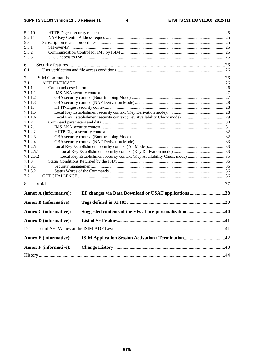$\overline{\mathbf{4}}$ 

| 5.2.10                        |                                                                           |  |
|-------------------------------|---------------------------------------------------------------------------|--|
| 5.2.11                        |                                                                           |  |
| 5.3                           |                                                                           |  |
| 5.3.1                         |                                                                           |  |
| 5.3.2                         |                                                                           |  |
| 5.3.3                         |                                                                           |  |
| 6                             |                                                                           |  |
| 6.1                           |                                                                           |  |
| 7                             |                                                                           |  |
| 7.1                           |                                                                           |  |
| 7.1.1                         |                                                                           |  |
| 7.1.1.1                       |                                                                           |  |
| 7.1.1.2                       |                                                                           |  |
| 7.1.1.3                       |                                                                           |  |
| 7.1.1.4                       |                                                                           |  |
| 7.1.1.5                       |                                                                           |  |
| 7.1.1.6                       |                                                                           |  |
| 7.1.2                         |                                                                           |  |
| 7.1.2.1                       |                                                                           |  |
| 7.1.2.2                       |                                                                           |  |
| 7.1.2.3                       |                                                                           |  |
| 7.1.2.4                       |                                                                           |  |
| 7.1.2.5                       |                                                                           |  |
| 7.1.2.5.1                     |                                                                           |  |
| 7.1.2.5.2                     | Local Key Establishment security context (Key Availability Check mode) 35 |  |
| 7.1.3                         |                                                                           |  |
| 7.1.3.1                       |                                                                           |  |
| 7.1.3.2                       |                                                                           |  |
| 7.2                           |                                                                           |  |
| 8                             |                                                                           |  |
| <b>Annex A (informative):</b> | EF changes via Data Download or USAT applications 38                      |  |
| <b>Annex B</b> (informative): |                                                                           |  |
| <b>Annex C</b> (informative): |                                                                           |  |
| <b>Annex D</b> (informative): |                                                                           |  |
| D.1                           |                                                                           |  |
|                               |                                                                           |  |
| <b>Annex E</b> (informative): |                                                                           |  |
| <b>Annex F</b> (informative): |                                                                           |  |
|                               |                                                                           |  |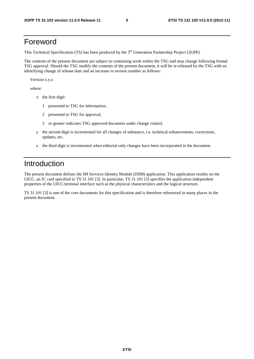## Foreword

This Technical Specification (TS) has been produced by the 3<sup>rd</sup> Generation Partnership Project (3GPP).

The contents of the present document are subject to continuing work within the TSG and may change following formal TSG approval. Should the TSG modify the contents of the present document, it will be re-released by the TSG with an identifying change of release date and an increase in version number as follows:

Version x.y.z

where:

- x the first digit:
	- 1 presented to TSG for information;
	- 2 presented to TSG for approval;
	- 3 or greater indicates TSG approved document under change control.
- y the second digit is incremented for all changes of substance, i.e. technical enhancements, corrections, updates, etc.
- z the third digit is incremented when editorial only changes have been incorporated in the document.

## Introduction

The present document defines the IM Services Identity Module (ISIM) application. This application resides on the UICC, an IC card specified in TS 31.101 [3]. In particular, TS 31.101 [3] specifies the application independent properties of the UICC/terminal interface such as the physical characteristics and the logical structure.

TS 31.101 [3] is one of the core documents for this specification and is therefore referenced in many places in the present document.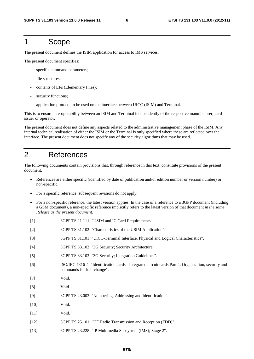### 1 Scope

The present document defines the ISIM application for access to IMS services.

The present document specifies:

- specific command parameters;
- file structures;
- contents of EFs (Elementary Files);
- security functions;
- application protocol to be used on the interface between UICC (ISIM) and Terminal.

This is to ensure interoperability between an ISIM and Terminal independently of the respective manufacturer, card issuer or operator.

The present document does not define any aspects related to the administrative management phase of the ISIM. Any internal technical realisation of either the ISIM or the Terminal is only specified where these are reflected over the interface. The present document does not specify any of the security algorithms that may be used.

## 2 References

The following documents contain provisions that, through reference in this text, constitute provisions of the present document.

- References are either specific (identified by date of publication and/or edition number or version number) or non-specific.
- For a specific reference, subsequent revisions do not apply.
- For a non-specific reference, the latest version applies. In the case of a reference to a 3GPP document (including a GSM document), a non-specific reference implicitly refers to the latest version of that document *in the same Release as the present document*.
- [1] 3GPP TS 21.111: "USIM and IC Card Requirements".
- [2] 3GPP TS 31.102: "Characteristics of the USIM Application".
- [3] 3GPP TS 31.101: "UICC-Terminal Interface, Physical and Logical Characteristics".
- [4] 3GPP TS 33.102: "3G Security; Security Architecture".
- [5] 3GPP TS 33.103: "3G Security; Integration Guidelines".
- [6] ISO/IEC 7816-4: "Identification cards Integrated circuit cards,Part 4: Organization, security and commands for interchange".
- [7] Void.
- [8] Void.
- [9] 3GPP TS 23.003: "Numbering, Addressing and Identification".
- [10] Void.
- [11] **Void.**
- [12] 3GPP TS 25.101: "UE Radio Transmission and Reception (FDD)".
- [13] 3GPP TS 23.228: "IP Multimedia Subsystem (IMS); Stage 2".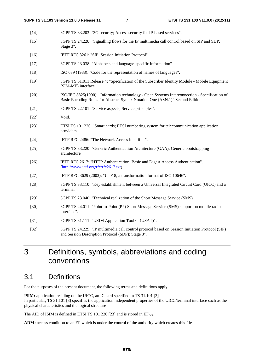- [14] 3GPP TS 33.203: "3G security; Access security for IP-based services".
- [15] 3GPP TS 24.228: "Signalling flows for the IP multimedia call control based on SIP and SDP; Stage 3".
- [16] IETF RFC 3261: "SIP: Session Initiation Protocol".
- [17] 3GPP TS 23.038: "Alphabets and language-specific information".
- [18] ISO 639 (1988): "Code for the representation of names of languages".
- [19] 3GPP TS 51.011 Release 4: "Specification of the Subscriber Identity Module Mobile Equipment (SIM-ME) interface".
- [20] ISO/IEC 8825(1990): "Information technology Open Systems Interconnection Specification of Basic Encoding Rules for Abstract Syntax Notation One (ASN.1)" Second Edition.
- [21] 3GPP TS 22.101: "Service aspects; Service principles".
- [22] Void.
- [23] ETSI TS 101 220: "Smart cards; ETSI numbering system for telecommunication application providers".
- [24] IETF RFC 2486: "The Network Access Identifier".
- [25] 3GPP TS 33.220: "Generic Authentication Architecture (GAA); Generic bootstrapping architecture".
- [26] IETF RFC 2617: "HTTP Authentication: Basic and Digest Access Authentication". ([http://www.ietf.org/rfc/rfc2617.txt\)](http://www.ietf.org/rfc/rfc2617.txt)
- [27] IETF RFC 3629 (2003): "UTF-8, a transformation format of ISO 10646".
- [28] 3GPP TS 33.110: "Key establishment between a Universal Integrated Circuit Card (UICC) and a terminal".
- [29] 3GPP TS 23.040: "Technical realization of the Short Message Service (SMS)".
- [30] 3GPP TS 24.011: "Point-to-Point (PP) Short Message Service (SMS) support on mobile radio interface".
- [31] 3GPP TS 31.111: "USIM Application Toolkit (USAT)".
- [32] 3GPP TS 24.229: "IP multimedia call control protocol based on Session Initiation Protocol (SIP) and Session Description Protocol (SDP); Stage 3".

## 3 Definitions, symbols, abbreviations and coding conventions

## 3.1 Definitions

For the purposes of the present document, the following terms and definitions apply:

**ISIM:** application residing on the UICC, an IC card specified in TS 31.101 [3] In particular, TS 31.101 [3] specifies the application independent properties of the UICC/terminal interface such as the physical characteristics and the logical structure

The AID of ISIM is defined in ETSI TS 101 220 [23] and is stored in  $EF_{\text{DIR}}$ .

**ADM:** access condition to an EF which is under the control of the authority which creates this file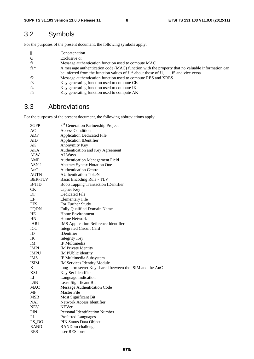## 3.2 Symbols

For the purposes of the present document, the following symbols apply:

| $\parallel$ | Concatenation                                                                                   |
|-------------|-------------------------------------------------------------------------------------------------|
| $\oplus$    | Exclusive or                                                                                    |
| f1          | Message authentication function used to compute MAC                                             |
| $f1*$       | A message authentication code (MAC) function with the property that no valuable information can |
|             | be inferred from the function values of $f1^*$ about those of $f1, \ldots, f5$ and vice versa   |
| f2          | Message authentication function used to compute RES and XRES                                    |
| f3          | Key generating function used to compute CK                                                      |
| f4          | Key generating function used to compute IK                                                      |
| f5          | Key generating function used to compute AK                                                      |

## 3.3 Abbreviations

For the purposes of the present document, the following abbreviations apply:

| 3GPP           | 3 <sup>rd</sup> Generation Partnership Project           |
|----------------|----------------------------------------------------------|
| AC             | <b>Access Condition</b>                                  |
| ADF            | <b>Application Dedicated File</b>                        |
| AID            | <b>Application IDentifier</b>                            |
| AK             | Anonymity Key                                            |
| AKA            | Authentication and Key Agreement                         |
| ALW            | ALWays                                                   |
| AMF            | <b>Authentication Management Field</b>                   |
| ASN.1          | <b>Abstract Syntax Notation One</b>                      |
| AuC            | <b>Authentication Centre</b>                             |
| <b>AUTN</b>    | <b>AUthentication TokeN</b>                              |
| <b>BER-TLV</b> | Basic Encoding Rule - TLV                                |
| <b>B-TID</b>   | <b>Bootstrapping Transaction IDentifier</b>              |
| CK             | Cipher Key                                               |
| DF             | <b>Dedicated File</b>                                    |
| EF             | <b>Elementary File</b>                                   |
| <b>FFS</b>     | For Further Study                                        |
| <b>FQDN</b>    | Fully Qualified Domain Name                              |
| HE             | Home Environment                                         |
| HN             | <b>Home Network</b>                                      |
| IARI           | <b>IMS</b> Application Reference Identifier              |
| ICC            | <b>Integrated Circuit Card</b>                           |
| ID             | <b>IDentifier</b>                                        |
| IK             | <b>Integrity Key</b>                                     |
| IM.            | IP Multimedia                                            |
| <b>IMPI</b>    | <b>IM</b> Private Identity                               |
| <b>IMPU</b>    | IM PUblic identity                                       |
| <b>IMS</b>     | IP Multimedia Subsystem                                  |
| <b>ISIM</b>    | <b>IM Services Identity Module</b>                       |
| K              | long-term secret Key shared between the ISIM and the AuC |
| <b>KSI</b>     | Key Set Identifier                                       |
| LI             | Language Indication                                      |
| <b>LSB</b>     | Least Significant Bit                                    |
| <b>MAC</b>     | Message Authentication Code                              |
| MF             | <b>Master File</b>                                       |
| MSB            | Most Significant Bit                                     |
| NAI            | Network Access Identifier                                |
| <b>NEV</b>     | <b>NEVer</b>                                             |
| <b>PIN</b>     | <b>Personal Identification Number</b>                    |
| PL             | <b>Preferred Languages</b>                               |
| PS_DO          | PIN Status Data Object                                   |
| <b>RAND</b>    | RANDom challenge                                         |
| <b>RES</b>     | user RESponse                                            |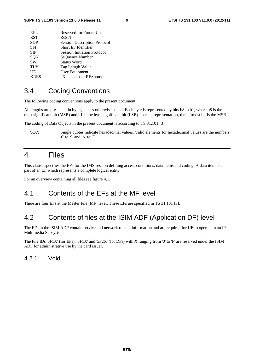| <b>RFU</b>  | Reserved for Future Use             |
|-------------|-------------------------------------|
| <b>RST</b>  | ReSeT                               |
| <b>SDP</b>  | <b>Session Description Protocol</b> |
| SFI         | Short EF Identifier                 |
| <b>SIP</b>  | <b>Session Initiation Protocol</b>  |
| SQN         | SeOuence Number                     |
| <b>SW</b>   | <b>Status Word</b>                  |
| <b>TLV</b>  | Tag Length Value                    |
| UE          | <b>User Equipment</b>               |
| <b>XRES</b> | eXpected user RESponse              |
|             |                                     |

### 3.4 Coding Conventions

The following coding conventions apply to the present document.

All lengths are presented in bytes, unless otherwise stated. Each byte is represented by bits b8 to b1, where b8 is the most significant bit (MSB) and b1 is the least significant bit (LSB). In each representation, the leftmost bit is the MSB.

The coding of Data Objects in the present document is according to TS 31.101 [3].

'XX': Single quotes indicate hexadecimal values. Valid elements for hexadecimal values are the numbers '0' to '9' and 'A' to 'F'.

### 4 Files

This clause specifies the EFs for the IMS session defining access conditions, data items and coding. A data item is a part of an EF which represents a complete logical entity.

For an overview containing all files see figure 4.1.

### 4.1 Contents of the EFs at the MF level

There are four EFs at the Master File (MF) level. These EFs are specified in TS 31.101 [3].

### 4.2 Contents of files at the ISIM ADF (Application DF) level

The EFs in the ISIM ADF contain service and network related information and are required for UE to operate in an IP Multimedia Subsystem.

The File IDs '6F1X' (for EFs), '5F1X' and '5F2X' (for DFs) with X ranging from '0' to 'F' are reserved under the ISIM ADF for administrative use by the card issuer.

### 4.2.1 Void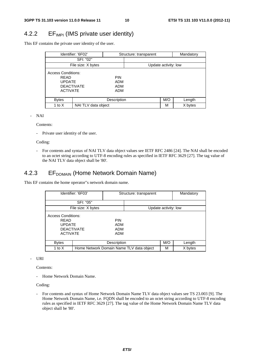### 4.2.2 EF<sub>IMPI</sub> (IMS private user identity)

This EF contains the private user identity of the user.

|                                                                       | Identifier: '6F02'  |                                               | Structure: transparent |                      | Mandatory |
|-----------------------------------------------------------------------|---------------------|-----------------------------------------------|------------------------|----------------------|-----------|
|                                                                       | SFI: "02"           |                                               |                        |                      |           |
|                                                                       | File size: X bytes  |                                               |                        | Update activity: low |           |
| <b>Access Conditions:</b><br>RFAD<br><b>UPDATE</b><br><b>ACTIVATE</b> | <b>DEACTIVATE</b>   | <b>PIN</b><br><b>ADM</b><br>ADM<br><b>ADM</b> |                        |                      |           |
| <b>Bytes</b>                                                          |                     | Description                                   |                        | M/O                  | Length    |
| 1 to $X$                                                              | NAI TLV data object |                                               |                        | М                    | X bytes   |

- NAI

Contents:

- Private user identity of the user.

Coding:

- For contents and syntax of NAI TLV data object values see IETF RFC 2486 [24]. The NAI shall be encoded to an octet string according to UTF-8 encoding rules as specified in IETF RFC 3629 [27]. The tag value of the NAI TLV data object shall be '80'.

### 4.2.3 EF<sub>DOMAIN</sub> (Home Network Domain Name)

This EF contains the home operator"s network domain name.

| Identifier: '6F03'                                                                                |                                          | Structure: transparent                               |  |                      | Mandatory |  |
|---------------------------------------------------------------------------------------------------|------------------------------------------|------------------------------------------------------|--|----------------------|-----------|--|
|                                                                                                   | SFI: "05"                                |                                                      |  |                      |           |  |
|                                                                                                   | File size: X bytes                       |                                                      |  | Update activity: low |           |  |
| <b>Access Conditions:</b><br><b>RFAD</b><br><b>UPDATE</b><br><b>DEACTIVATE</b><br><b>ACTIVATE</b> |                                          | <b>PIN</b><br><b>ADM</b><br><b>ADM</b><br><b>ADM</b> |  |                      |           |  |
| <b>Bytes</b>                                                                                      |                                          | Description                                          |  | M/O                  | Length    |  |
| 1 to $X$                                                                                          | Home Network Domain Name TLV data object |                                                      |  | М                    | X bytes   |  |

#### - URI

Contents:

- Home Network Domain Name.

Coding:

- For contents and syntax of Home Network Domain Name TLV data object values see TS 23.003 [9]. The Home Network Domain Name, i.e. FQDN shall be encoded to an octet string according to UTF-8 encoding rules as specified in IETF RFC 3629 [27]. The tag value of the Home Network Domain Name TLV data object shall be '80'.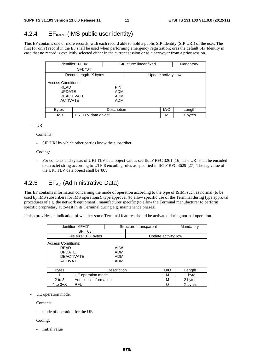### 4.2.4 EF<sub>IMPU</sub> (IMS public user identity)

This EF contains one or more records, with each record able to hold a public SIP Identity (SIP URI) of the user. The first (or only) record in the EF shall be used when performing emergency registration; oras the default SIP Identity in case that no record is explicitly selected either in the current session or as a carryover from a prior session.

|                                                                                            | Identifier: '6F04'     |                                                      | Structure: linear fixed |     | Mandatory |
|--------------------------------------------------------------------------------------------|------------------------|------------------------------------------------------|-------------------------|-----|-----------|
|                                                                                            | SFI: "04"              |                                                      |                         |     |           |
|                                                                                            | Record length: X bytes |                                                      | Update activity: low    |     |           |
| <b>Access Conditions:</b><br>RFAD<br><b>UPDATE</b><br><b>DEACTIVATE</b><br><b>ACTIVATE</b> |                        | <b>PIN</b><br><b>ADM</b><br><b>ADM</b><br><b>ADM</b> |                         |     |           |
| <b>Bytes</b>                                                                               |                        | Description                                          |                         | M/O | Length    |
| URI TLV data object<br>1 to X                                                              |                        |                                                      |                         | М   | X bytes   |

#### - URI

Contents:

SIP URI by which other parties know the subscriber.

Coding:

- For contents and syntax of URI TLV data object values see IETF RFC 3261 [16]. The URI shall be encoded to an octet string according to UTF-8 encoding rules as specified in IETF RFC 3629 [27]. The tag value of the URI TLV data object shall be '80'.

### 4.2.5 EF<sub>AD</sub> (Administrative Data)

This EF contains information concerning the mode of operation according to the type of ISIM, such as normal (to be used by IMS subscribers for IMS operations), type approval (to allow specific use of the Terminal during type approval procedures of e.g. the network equipment), manufacturer specific (to allow the Terminal manufacturer to perform specific proprietary auto-test in its Terminal during e.g. maintenance phases).

It also provides an indication of whether some Terminal features should be activated during normal operation.

|                                                                                            | Identifier: '6FAD'   |                                        | Structure: transparent |     | Mandatory |
|--------------------------------------------------------------------------------------------|----------------------|----------------------------------------|------------------------|-----|-----------|
|                                                                                            | SFI: '03'            |                                        |                        |     |           |
|                                                                                            | File size: 3+X bytes |                                        | Update activity: low   |     |           |
| Access Conditions:<br><b>RFAD</b><br><b>UPDATE</b><br><b>DEACTIVATE</b><br><b>ACTIVATE</b> |                      | <b>ALW</b><br><b>ADM</b><br>ADM<br>ADM |                        |     |           |
| Description<br><b>Bytes</b>                                                                |                      |                                        |                        | M/O | Length    |
| UE operation mode                                                                          |                      |                                        |                        | М   | 1 byte    |
| Additional information<br>$2$ to $3$                                                       |                      |                                        |                        | м   | 2 bytes   |
| <b>RFU</b><br>4 to $3+X$                                                                   |                      |                                        |                        | O   | X bytes   |

UE operation mode:

Contents:

mode of operation for the UE

Coding:

Initial value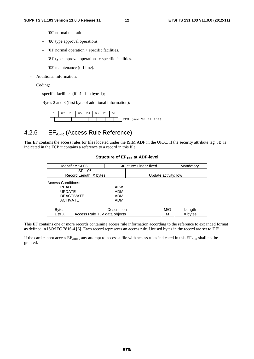- '00' normal operation.
- '80' type approval operations.
- '01' normal operation + specific facilities.
- '81' type approval operations + specific facilities.
- '02' maintenance (off line).
- Additional information:

#### Coding:

- specific facilities (if  $b1=1$  in byte 1);

Bytes 2 and 3 (first byte of additional information):

| b8 | b7 | $b6 \mid b5 \mid b4$ |  | $\cdot$ b3 | b2 | b1 |     |  |                 |
|----|----|----------------------|--|------------|----|----|-----|--|-----------------|
|    |    |                      |  |            |    |    | RFU |  | (see TS 31.101) |

### 4.2.6 EF<sub>ARR</sub> (Access Rule Reference)

This EF contains the access rules for files located under the ISIM ADF in the UICC. If the security attribute tag '8B' is indicated in the FCP it contains a reference to a record in this file.

|                                                                                            | Identifier: '6F06'           |                                        | Structure: Linear fixed |     | Mandatory |
|--------------------------------------------------------------------------------------------|------------------------------|----------------------------------------|-------------------------|-----|-----------|
|                                                                                            | SFI: '06'                    |                                        |                         |     |           |
|                                                                                            | Record Length: X bytes       |                                        | Update activity: low    |     |           |
| Access Conditions:<br><b>READ</b><br><b>UPDATE</b><br><b>DEACTIVATE</b><br><b>ACTIVATE</b> |                              | <b>ALW</b><br><b>ADM</b><br>ADM<br>ADM |                         |     |           |
| <b>Bytes</b>                                                                               |                              | Description                            |                         | M/O | Length    |
| 1 to X                                                                                     | Access Rule TLV data objects |                                        |                         | М   | X bytes   |

#### **Structure of EFARR at ADF-level**

This EF contains one or more records containing access rule information according to the reference to expanded format as defined in ISO/IEC 7816-4 [6]. Each record represents an access rule. Unused bytes in the record are set to 'FF'.

If the card cannot access  $EF_{ARR}$ , any attempt to access a file with access rules indicated in this  $EF_{ARR}$  shall not be granted.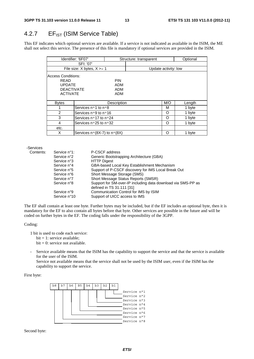### 4.2.7  $EF_{IST}$  (ISIM Service Table)

This EF indicates which optional services are available. If a service is not indicated as available in the ISIM, the ME shall not select this service. The presence of this file is mandatory if optional services are provided in the ISIM.

| Identifier: '6F07'         |                                             |             | Structure: transparent |                      | Optional |
|----------------------------|---------------------------------------------|-------------|------------------------|----------------------|----------|
|                            | SFI: '07'                                   |             |                        |                      |          |
|                            | File size: $X$ bytes, $X \geq 1$            |             |                        | Update activity: low |          |
| <b>Access Conditions:</b>  |                                             |             |                        |                      |          |
| READ                       |                                             | PIN         |                        |                      |          |
| <b>UPDATE</b>              |                                             | ADM         |                        |                      |          |
| <b>DEACTIVATE</b>          |                                             | ADM         |                        |                      |          |
| <b>ACTIVATE</b>            |                                             | ADM         |                        |                      |          |
|                            |                                             |             |                        |                      |          |
| <b>Bytes</b>               |                                             | Description |                        | M/O                  | Length   |
| 1                          | Services nº1 to nº8                         |             |                        | М                    | 1 byte   |
| 2                          | Services n°9 to n°16                        |             |                        | O                    | 1 byte   |
| 3                          | Services no 17 to no 24                     |             |                        | O                    | 1 byte   |
| 4<br>Services n°25 to n°32 |                                             |             |                        | O                    | 1 byte   |
| etc.                       |                                             |             |                        |                      |          |
| X                          | Services $n \circ (8X-7)$ to $n \circ (8X)$ |             |                        | Ω                    | 1 byte   |

-Services Contents:

| Contents: | Service n°1: | P-CSCF address                                               |
|-----------|--------------|--------------------------------------------------------------|
|           | Service n°2  | Generic Bootstrapping Architecture (GBA)                     |
|           | Service n°3  | <b>HTTP Digest</b>                                           |
|           | Service n°4  | GBA-based Local Key Establishment Mechanism                  |
|           | Service n°5  | Support of P-CSCF discovery for IMS Local Break Out          |
|           | Service n°6  | Short Message Storage (SMS)                                  |
|           | Service n°7  | Short Message Status Reports (SMSR)                          |
|           | Service n°8  | Support for SM-over-IP including data download via SMS-PP as |
|           |              | defined in TS 31.111 [31]                                    |
|           | Service n°9  | Communication Control for IMS by ISIM                        |
|           | Service n°10 | Support of UICC access to IMS                                |

The EF shall contain at least one byte. Further bytes may be included, but if the EF includes an optional byte, then it is mandatory for the EF to also contain all bytes before that byte. Other services are possible in the future and will be coded on further bytes in the EF. The coding falls under the responsibility of the 3GPP.

#### Coding:

1 bit is used to code each service:

 $bit = 1$ : service available;

- $bit = 0$ : service not available.
- Service available means that the ISIM has the capability to support the service and that the service is available for the user of the ISIM.
	- Service not available means that the service shall not be used by the ISIM user, even if the ISIM has the capability to support the service.

#### First byte:



Second byte: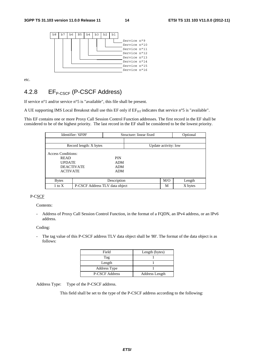

etc.

### 4.2.8 EF<sub>P-CSCF</sub> (P-CSCF Address)

If service n°1 and/or service n°5 is "available", this file shall be present.

A UE supporting IMS Local Breakout shall use this EF only if  $E_{\text{IST}}$  indicates that service n°5 is "available".

This EF contains one or more Proxy Call Session Control Function addresses. The first record in the EF shall be considered to be of the highest priority. The last record in the EF shall be considered to be the lowest priority.

|                           | Identifier: '6F09'             | Structure: linear fixed |                      |     | Optional |
|---------------------------|--------------------------------|-------------------------|----------------------|-----|----------|
|                           |                                |                         |                      |     |          |
|                           | Record length: X bytes         |                         | Update activity: low |     |          |
| <b>Access Conditions:</b> |                                |                         |                      |     |          |
| <b>READ</b>               |                                | <b>PIN</b>              |                      |     |          |
| <b>UPDATE</b>             |                                | <b>ADM</b>              |                      |     |          |
|                           | <b>DEACTIVATE</b>              | <b>ADM</b>              |                      |     |          |
| <b>ACTIVATE</b>           |                                | <b>ADM</b>              |                      |     |          |
|                           |                                |                         |                      |     |          |
| <b>Bytes</b>              |                                | Description             |                      | M/O | Length   |
| $1$ to $X$                | P-CSCF Address TLV data object |                         |                      | М   | X bytes  |

#### P-CSCF

Contents:

- Address of Proxy Call Session Control Function, in the format of a FQDN, an IPv4 address, or an IPv6 address.

#### Coding:

- The tag value of this P-CSCF address TLV data object shall be '80'. The format of the data object is as follows:

| Field                 | Length (bytes) |  |  |
|-----------------------|----------------|--|--|
| Tag                   |                |  |  |
| Length                |                |  |  |
| Address Type          |                |  |  |
| <b>P-CSCF Address</b> | Address Length |  |  |

Address Type: Type of the P-CSCF address.

This field shall be set to the type of the P-CSCF address according to the following: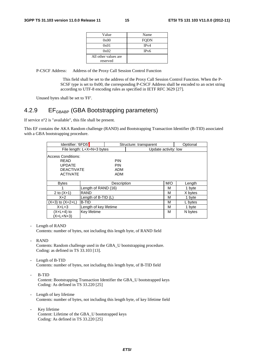| Value                | Name              |
|----------------------|-------------------|
| 0x00                 | <b>FQDN</b>       |
| 0x01                 | IPv4              |
| 0x02                 | IP <sub>v</sub> 6 |
| All other values are |                   |
| reserved             |                   |

P-CSCF Address: Address of the Proxy Call Session Control Function

This field shall be set to the address of the Proxy Call Session Control Function. When the P-SCSF type is set to 0x00, the corresponding P-CSCF Address shall be encoded to an octet string according to UTF-8 encoding rules as specified in IETF RFC 3629 [27].

Unused bytes shall be set to 'FF'.

### 4.2.9 EF<sub>GBABP</sub> (GBA Bootstrapping parameters)

If service n°2 is "available", this file shall be present.

This EF contains the AKA Random challenge (RAND) and Bootstrapping Transaction Identifier (B-TID) associated with a GBA bootstrapping procedure.

| Identifier: '6FD5'                                                                                                            |                            |             | Structure: transparent |     | Optional |  |
|-------------------------------------------------------------------------------------------------------------------------------|----------------------------|-------------|------------------------|-----|----------|--|
|                                                                                                                               | File length: L+X+N+3 bytes |             | Update activity: low   |     |          |  |
| Access Conditions:<br><b>PIN</b><br>READ<br><b>PIN</b><br><b>UPDATE</b><br><b>DEACTIVATE</b><br>ADM<br><b>ACTIVATE</b><br>ADM |                            |             |                        |     |          |  |
| <b>Bytes</b>                                                                                                                  |                            | Description |                        | M/O | Length   |  |
|                                                                                                                               | Length of RAND (16)        |             |                        | М   | 1 byte   |  |
| 2 to $(X+1)$                                                                                                                  | <b>RAND</b>                |             |                        | м   | X bytes  |  |
| $X+2$                                                                                                                         | Length of B-TID (L)        |             |                        | м   | 1 byte   |  |
| $(X+3)$ to $(X+2+L)$                                                                                                          | <b>B-TID</b>               |             |                        | М   | L bytes  |  |
| $X+L+3$                                                                                                                       | Length of key lifetime     |             |                        | М   | 1 byte   |  |
| $(X+L+4)$ to<br>$(X+L+N+3)$                                                                                                   | <b>Key lifetime</b>        |             |                        | м   | N bytes  |  |

Length of RAND

Contents: number of bytes, not including this length byte, of RAND field

RAND

Contents: Random challenge used in the GBA\_U bootstrapping procedure. Coding: as defined in TS 33.103 [13].

Length of B-TID

Contents: number of bytes, not including this length byte, of B-TID field

B-TID

Content: Bootstrapping Transaction Identifier the GBA\_U bootstrapped keys Coding: As defined in TS 33.220 [25]

- Length of key lifetime Contents: number of bytes, not including this length byte, of key lifetime field
- Key lifetime Content: Lifetime of the GBA\_U bootstrapped keys Coding: As defined in TS 33.220 [25]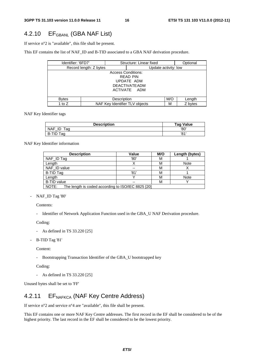### 4.2.10 EF<sub>GBANL</sub> (GBA NAF List)

If service n°2 is "available", this file shall be present.

This EF contains the list of NAF\_ID and B-TID associated to a GBA NAF derivation procedure.

| Identifier: '6FD7'     |                                     | Structure: Linear fixed |                       |     | Optional |  |
|------------------------|-------------------------------------|-------------------------|-----------------------|-----|----------|--|
| Record length: Z bytes |                                     |                         | Update activity: low  |     |          |  |
|                        | <b>Access Conditions:</b>           |                         |                       |     |          |  |
|                        |                                     |                         | READ PIN              |     |          |  |
|                        |                                     |                         | UPDATE ADM            |     |          |  |
|                        |                                     |                         | <b>DEACTIVATE ADM</b> |     |          |  |
|                        | ACTIVATE ADM                        |                         |                       |     |          |  |
|                        |                                     |                         |                       |     |          |  |
| <b>B</b> vtes          |                                     | Description             |                       | M/O | Length   |  |
| 1 to $Z$               | NAF Key Identifier TLV objects<br>М |                         |                       |     | Z bytes  |  |

NAF Key Identifier tags

| <b>Description</b>      | <b>Tag Value</b> |
|-------------------------|------------------|
| <b>NAF</b><br>ID<br>таа | '80              |
| <b>B-TID</b><br>тад     | '81'             |

NAF Key Identifier information

| <b>Description</b>                                          | Value | M/O | Length (bytes) |  |  |
|-------------------------------------------------------------|-------|-----|----------------|--|--|
| NAF_ID Tag                                                  | '80'  | M   |                |  |  |
| Length                                                      |       | М   | <b>Note</b>    |  |  |
| NAF_ID value                                                | --    | М   |                |  |  |
| <b>B-TID Tag</b>                                            | '81'  | М   |                |  |  |
| Length                                                      |       | м   | Note           |  |  |
| <b>B-TID value</b>                                          | --    | М   |                |  |  |
| NOTE:<br>The length is coded according to ISO/IEC 8825 [20] |       |     |                |  |  |

- NAF\_ID Tag '80'

Contents:

- Identifier of Network Application Function used in the GBA\_U NAF Derivation procedure.

Coding:

- As defined in TS 33.220 [25]
- B-TID Tag '81'

Content:

- Bootstrapping Transaction Identifier of the GBA\_U bootstrapped key

Coding:

- As defined in TS 33.220 [25]

Unused bytes shall be set to 'FF'

### 4.2.11 EF<sub>NAFKCA</sub> (NAF Key Centre Address)

If service n°2 and service n°4 are "available", this file shall be present.

This EF contains one or more NAF Key Centre addresses. The first record in the EF shall be considered to be of the highest priority. The last record in the EF shall be considered to be the lowest priority.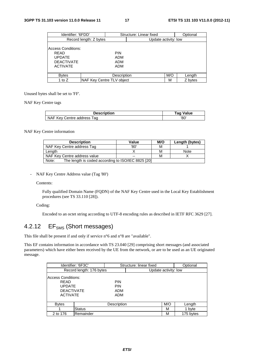| Identifier: '6FDD'                                                                                |                           | Structure: Linear fixed         |                      |     | Optional |
|---------------------------------------------------------------------------------------------------|---------------------------|---------------------------------|----------------------|-----|----------|
| Record length: Z bytes                                                                            |                           |                                 | Update activity: low |     |          |
| <b>Access Conditions:</b><br><b>READ</b><br><b>UPDATE</b><br><b>DEACTIVATE</b><br><b>ACTIVATE</b> |                           | <b>PIN</b><br>ADM<br>ADM<br>ADM |                      |     |          |
| <b>Bytes</b>                                                                                      |                           | Description                     |                      | M/O | Length   |
| 1 to Z                                                                                            | NAF Key Centre TLV object |                                 |                      | М   | Z bytes  |

Unused bytes shall be set to 'FF'.

NAF Key Centre tags

| <b>Description</b>         | Tag Value |  |  |
|----------------------------|-----------|--|--|
| NAF Key Centre address Tag | '80'      |  |  |

#### NAF Key Centre information

| <b>Description</b>                                          | Value | M/O | Length (bytes) |
|-------------------------------------------------------------|-------|-----|----------------|
| NAF Key Centre address Tag                                  | '80'  | м   |                |
| Length                                                      |       | м   | Note           |
| NAF Key Centre address value                                | $- -$ | м   |                |
| The length is coded according to ISO/IEC 8825 [20]<br>Note: |       |     |                |

- NAF Key Centre Address value (Tag '80')

#### Contents:

 Fully qualified Domain Name (FQDN) of the NAF Key Centre used in the Local Key Establishment procedures (see TS 33.110 [28]).

#### Coding:

Encoded to an octet string according to UTF-8 encoding rules as described in IETF RFC 3629 [27].

### 4.2.12 EF<sub>SMS</sub> (Short messages)

This file shall be present if and only if service n°6 and n°8 are "available".

This EF contains information in accordance with TS 23.040 [29] comprising short messages (and associated parameters) which have either been received by the UE from the network, or are to be used as an UE originated message.

|                                                                                            | Identifier: '6F3C'       |                                        | Structure: linear fixed | Optional             |           |  |
|--------------------------------------------------------------------------------------------|--------------------------|----------------------------------------|-------------------------|----------------------|-----------|--|
|                                                                                            | Record length: 176 bytes |                                        |                         | Update activity: low |           |  |
| Access Conditions:<br><b>READ</b><br><b>UPDATE</b><br><b>DEACTIVATE</b><br><b>ACTIVATE</b> |                          | <b>PIN</b><br><b>PIN</b><br>ADM<br>ADM |                         |                      |           |  |
| <b>Bytes</b>                                                                               |                          | Description                            |                         | M/O                  | Length    |  |
|                                                                                            | <b>Status</b>            |                                        |                         | м                    | 1 byte    |  |
| 2 to 176                                                                                   | Remainder                |                                        |                         | М                    | 175 bytes |  |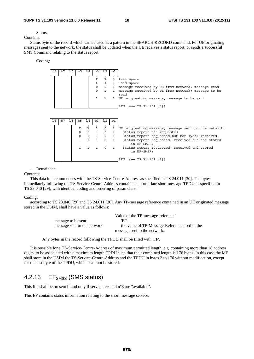- Status.

Contents:

 Status byte of the record which can be used as a pattern in the SEARCH RECORD command. For UE originating messages sent to the network, the status shall be updated when the UE receives a status report, or sends a successful SMS Command relating to the status report.

Coding:



Remainder.

Contents:

 This data item commences with the TS-Service-Centre-Address as specified in TS 24.011 [30]. The bytes immediately following the TS-Service-Centre-Address contain an appropriate short message TPDU as specified in TS 23.040 [29], with identical coding and ordering of parameters.

#### Coding:

 according to TS 23.040 [29] and TS 24.011 [30]. Any TP-message reference contained in an UE originated message stored in the USIM, shall have a value as follows:

|                              | Value of the TP-message-reference:            |
|------------------------------|-----------------------------------------------|
| message to be sent:          | 'FF'.                                         |
| message sent to the network: | the value of TP-Message-Reference used in the |
|                              | message sent to the network.                  |

Any bytes in the record following the TPDU shall be filled with 'FF'.

 It is possible for a TS-Service-Centre-Address of maximum permitted length, e.g. containing more than 18 address digits, to be associated with a maximum length TPDU such that their combined length is 176 bytes. In this case the ME shall store in the USIM the TS-Service-Centre-Address and the TPDU in bytes 2 to 176 without modification, except for the last byte of the TPDU, which shall not be stored.

### 4.2.13 EF<sub>SMSS</sub> (SMS status)

This file shall be present if and only if service n°6 and n°8 are "available".

This EF contains status information relating to the short message service.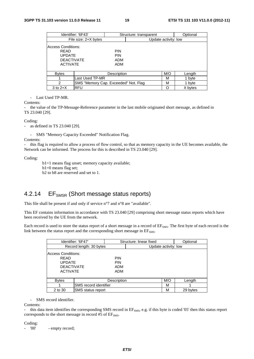|                                                                                     | Identifier: '6F43'                   |                                        | Structure: transparent |                      | Optional |
|-------------------------------------------------------------------------------------|--------------------------------------|----------------------------------------|------------------------|----------------------|----------|
|                                                                                     | File size: 2+X bytes                 |                                        |                        | Update activity: low |          |
| Access Conditions:<br>RFAD<br><b>UPDATE</b><br><b>DEACTIVATE</b><br><b>ACTIVATE</b> |                                      | <b>PIN</b><br><b>PIN</b><br>ADM<br>ADM |                        |                      |          |
| <b>Bytes</b>                                                                        |                                      | Description                            |                        | M/O                  | Length   |
|                                                                                     | Last Used TP-MR                      |                                        |                        | М                    | 1 byte   |
| $\mathfrak{p}$                                                                      | SMS "Memory Cap. Exceeded" Not. Flag |                                        |                        | м                    | 1 byte   |
| $3$ to $2+X$                                                                        | IRFU                                 |                                        |                        | ∩                    | X bytes  |

- Last Used TP-MR.

Contents:

- the value of the TP-Message-Reference parameter in the last mobile originated short message, as defined in TS 23.040 [29].

Coding:

- as defined in TS 23.040 [29].

- SMS "Memory Capacity Exceeded" Notification Flag.

Contents:

- this flag is required to allow a process of flow control, so that as memory capacity in the UE becomes available, the Network can be informed. The process for this is described in TS 23.040 [29].

Coding:

b1=1 means flag unset; memory capacity available; b1=0 means flag set; b2 to b8 are reserved and set to 1.

### 4.2.14 EF<sub>SMSR</sub> (Short message status reports)

This file shall be present if and only if service n°7 and n°8 are "available".

This EF contains information in accordance with TS 23.040 [29] comprising short message status reports which have been received by the UE from the network.

Each record is used to store the status report of a short message in a record of EF<sub>SMS</sub>. The first byte of each record is the link between the status report and the corresponding short message in  $EF<sub>SMS</sub>$ .

|                                                                                     | Identifier: '6F47'           |                                        | Structure: linear fixed |                      | Optional |
|-------------------------------------------------------------------------------------|------------------------------|----------------------------------------|-------------------------|----------------------|----------|
|                                                                                     | Record length: 30 bytes      |                                        |                         | Update activity: low |          |
| Access Conditions:<br>READ<br><b>UPDATE</b><br><b>DEACTIVATE</b><br><b>ACTIVATE</b> |                              | <b>PIN</b><br><b>PIN</b><br>ADM<br>ADM |                         |                      |          |
| <b>Bytes</b>                                                                        |                              | Description                            |                         | M/O                  | Length   |
|                                                                                     | <b>SMS</b> record identifier |                                        |                         | м                    |          |
| 2 to 30                                                                             | <b>SMS</b> status report     |                                        |                         | м                    | 29 bytes |

- SMS record identifier.

Contents:

this data item identifies the corresponding SMS record in EF<sub>SMS</sub>, e.g. if this byte is coded '05' then this status report corresponds to the short message in record  $#5$  of  $EF<sub>SMS</sub>$ .

Coding:

- '00' - empty record;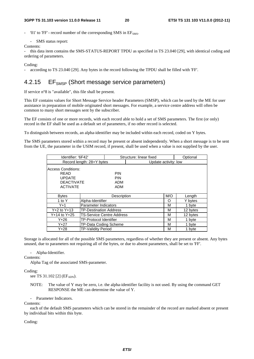'01' to 'FF' - record number of the corresponding SMS in  $EF<sub>SMS</sub>$ .

- SMS status report:

Contents:

this data item contains the SMS-STATUS-REPORT TPDU as specified in TS 23.040 [29], with identical coding and ordering of parameters.

Coding:

- according to TS 23.040 [29]. Any bytes in the record following the TPDU shall be filled with 'FF'.

### 4.2.15 EF<sub>SMSP</sub> (Short message service parameters)

If service n°8 is "available", this file shall be present.

This EF contains values for Short Message Service header Parameters (SMSP), which can be used by the ME for user assistance in preparation of mobile originated short messages. For example, a service centre address will often be common to many short messages sent by the subscriber.

The EF consists of one or more records, with each record able to hold a set of SMS parameters. The first (or only) record in the EF shall be used as a default set of parameters, if no other record is selected.

To distinguish between records, an alpha-identifier may be included within each record, coded on Y bytes.

The SMS parameters stored within a record may be present or absent independently. When a short message is to be sent from the UE, the parameter in the USIM record, if present, shall be used when a value is not supplied by the user.

| Identifier: '6F42'                                                                  |                                   |                                        | Structure: linear fixed |     | Optional |
|-------------------------------------------------------------------------------------|-----------------------------------|----------------------------------------|-------------------------|-----|----------|
|                                                                                     | Record length: 28+Y bytes         |                                        | Update activity: low    |     |          |
| Access Conditions:<br>READ<br><b>UPDATE</b><br><b>DEACTIVATE</b><br><b>ACTIVATE</b> |                                   | <b>PIN</b><br><b>PIN</b><br>ADM<br>ADM |                         |     |          |
| <b>Bytes</b>                                                                        |                                   | Description                            |                         | M/O | Length   |
| 1 to Y                                                                              | Alpha-Identifier                  |                                        |                         | O   | Y bytes  |
| Y+1                                                                                 | Parameter Indicators              |                                        |                         | М   | 1 byte   |
| $Y + 2$ to $Y + 13$                                                                 | <b>TP-Destination Address</b>     |                                        |                         | М   | 12 bytes |
| Y+14 to Y+25                                                                        | <b>ITS-Service Centre Address</b> |                                        |                         | М   | 12 bytes |
| Y+26                                                                                | <b>TP-Protocol Identifier</b>     |                                        |                         | М   | 1 byte   |
| $Y + 27$                                                                            | TP-Data Coding Scheme             |                                        |                         | М   | 1 byte   |
| $Y + 28$                                                                            | <b>TP-Validity Period</b>         |                                        |                         | М   | 1 byte   |

Storage is allocated for all of the possible SMS parameters, regardless of whether they are present or absent. Any bytes unused, due to parameters not requiring all of the bytes, or due to absent parameters, shall be set to 'FF'.

- Alpha-Identifier.

Contents:

Alpha Tag of the associated SMS-parameter.

Coding:

see TS 31.102 [2] ( $EF_{ADN}$ ).

NOTE: The value of Y may be zero, i.e. the alpha-identifier facility is not used. By using the command GET RESPONSE the ME can determine the value of Y.

- Parameter Indicators.

Contents:

 each of the default SMS parameters which can be stored in the remainder of the record are marked absent or present by individual bits within this byte.

Coding: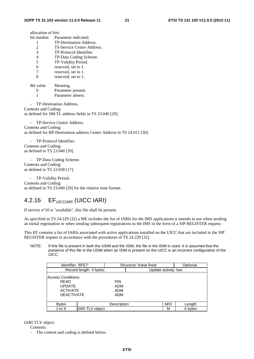| allocation of bits:        |
|----------------------------|
| Parameter indicated.       |
| TP-Destination Address.    |
| TS-Service Centre Address. |
| TP-Protocol Identifier.    |
| TP-Data Coding Scheme.     |
| TP-Validity Period.        |
| reserved, set to 1.        |
| reserved, set to 1.        |
| reserved, set to 1.        |
| Meaning.                   |
|                            |

 0 Parameter present. 1 Parameter absent.

- TP-Destination Address. Contents and Coding: as defined for SM-TL address fields in TS 23.040 [29].

- TP-Service Centre Address. Contents and Coding: as defined for RP-Destination address Centre Address in TS 24.011 [30].

TP-Protocol Identifier. Contents and Coding: as defined in TS 23.040 [29].

- TP-Data Coding Scheme. Contents and Coding: as defined in TS 23.038 [17].

- TP-Validity Period. Contents and Coding: as defined in TS 23.040 [29] for the relative time format.

### 4.2.16 EFUICCIARI (UICC IARI)

If service n°10 is "available", this file shall be present.

As specified in TS 24.229 [32] a ME includes the list of IARIs for the IMS applications it intends to use when sending an initial registration or when sending subsequent registrations to the IMS in the form of a SIP REGISTER request.

This EF contains a list of IARIs associated with active applications installed on the UICC that are included in the SIP REGISTER request in accordance with the procedures of TS 24.229 [32].

NOTE: If this file is present in both the USIM and the ISIM, the file in the ISIM is used. It is assumed that the presence of this file in the USIM when an ISIM is present on the UICC is an incorrect configuration of the UICC.

| Identifier: '6FE7'                                                                         |                         |                                        | Structure: linear fixed |     | Optional |
|--------------------------------------------------------------------------------------------|-------------------------|----------------------------------------|-------------------------|-----|----------|
|                                                                                            | Record length: X bytes. |                                        | Update activity: low    |     |          |
| <b>Access Conditions:</b><br>RFAD<br><b>UPDATE</b><br><b>ACTIVATE</b><br><b>DEACTIVATE</b> |                         | <b>PIN</b><br><b>ADM</b><br>ADM<br>ADM |                         |     |          |
| <b>Bytes</b>                                                                               |                         | Description                            |                         | M/O | Length   |
| 1 to X                                                                                     | <b>IARI TLV object</b>  |                                        |                         | M   | X bytes  |

IARI TLV object:

Contents:

- The content and coding is defined below.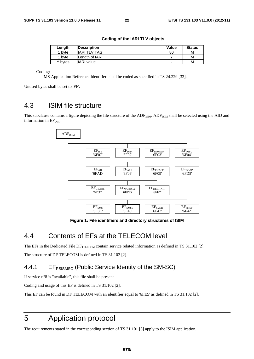| Length  | <b>Description</b> | Value | <b>Status</b> |
|---------|--------------------|-------|---------------|
| 1 byte  | lIARI TLV TAG      | '80'  | м             |
| 1 byte  | lLenath of IARI    |       | М             |
| Y bvtes | IIARI value        | -     | м             |

#### **Coding of the IARI TLV objects**

Coding:

IMS Application Reference Identifier: shall be coded as specified in TS 24.229 [32].

Unused bytes shall be set to 'FF'.

### 4.3 ISIM file structure

This subclause contains a figure depicting the file structure of the  $ADF<sub>ISM</sub>$ .  $ADF<sub>ISM</sub>$  shall be selected using the AID and information in  $EF<sub>DIR</sub>$ .



**Figure 1: File identifiers and directory structures of ISIM** 

### 4.4 Contents of EFs at the TELECOM level

The EFs in the Dedicated File DF $_{\text{TELECOM}}$  contain service related information as defined in TS 31.102 [2]. The structure of DF TELECOM is defined in TS 31.102 [2].

### 4.4.1 EF<sub>PSISMSC</sub> (Public Service Identity of the SM-SC)

If service n°8 is "available", this file shall be present.

Coding and usage of this EF is defined in TS 31.102 [2].

This EF can be found in DF TELECOM with an identifier equal to '6FE5' as defined in TS 31.102 [2].

## 5 Application protocol

The requirements stated in the corresponding section of TS 31.101 [3] apply to the ISIM application.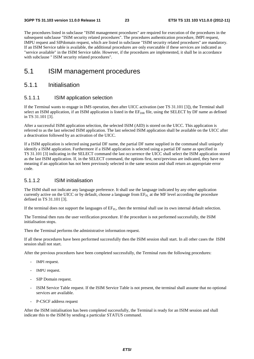The procedures listed in subclause "ISIM management procedures" are required for execution of the procedures in the subsequent subclause "ISIM security related procedures". The procedures authentication procedure, IMPI request, IMPU request and SIPdomain request, which are listed in subclause "ISIM security related procedures" are mandatory. If an ISIM Service table is available, the additional procedures are only executable if these services are indicated as "service available" in the ISIM Service table. However, if the procedures are implemented, it shall be in accordance with subclause " ISIM security related procedures".

### 5.1 ISIM management procedures

#### 5.1.1 Initialisation

#### 5.1.1.1 ISIM application selection

If the Terminal wants to engage in IMS operation, then after UICC activation (see TS 31.101 [3]), the Terminal shall select an ISIM application, if an ISIM application is listed in the  $E_{\text{DR}}$  file, using the SELECT by DF name as defined in TS 31.101 [3].

After a successful ISIM application selection, the selected ISIM (AID) is stored on the UICC. This application is referred to as the last selected ISIM application. The last selected ISIM application shall be available on the UICC after a deactivation followed by an activation of the UICC.

If a ISIM application is selected using partial DF name, the partial DF name supplied in the command shall uniquely identify a ISIM application. Furthermore if a ISIM application is selected using a partial DF name as specified in TS 31.101 [3] indicating in the SELECT command the last occurrence the UICC shall select the ISIM application stored as the last ISIM application. If, in the SELECT command, the options first, next/previous are indicated, they have no meaning if an application has not been previously selected in the same session and shall return an appropriate error code.

#### 5.1.1.2 ISIM initialisation

The ISIM shall not indicate any language preference. It shall use the language indicated by any other application currently active on the UICC or by default, choose a language from  $EF_{PI}$  at the MF level according the procedure defined in TS 31.101 [3].

If the terminal does not support the languages of  $EF_{PI}$ , then the terminal shall use its own internal default selection.

The Terminal then runs the user verification procedure. If the procedure is not performed successfully, the ISIM initialisation stops.

Then the Terminal performs the administrative information request.

If all these procedures have been performed successfully then the ISIM session shall start. In all other cases the ISIM session shall not start.

After the previous procedures have been completed successfully, the Terminal runs the following procedures:

- IMPI request.
- IMPU request.
- SIP Domain request.
- ISIM Service Table request. If the ISIM Service Table is not present, the terminal shall assume that no optional services are available.
- P-CSCF address request

After the ISIM initialisation has been completed successfully, the Terminal is ready for an ISIM session and shall indicate this to the ISIM by sending a particular STATUS command.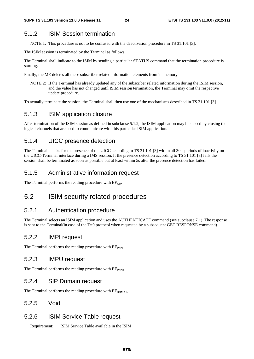### 5.1.2 ISIM Session termination

NOTE 1: This procedure is not to be confused with the deactivation procedure in TS 31.101 [3].

The ISIM session is terminated by the Terminal as follows.

The Terminal shall indicate to the ISIM by sending a particular STATUS command that the termination procedure is starting.

Finally, the ME deletes all these subscriber related information elements from its memory.

NOTE 2: If the Terminal has already updated any of the subscriber related information during the ISIM session, and the value has not changed until ISIM session termination, the Terminal may omit the respective update procedure.

To actually terminate the session, the Terminal shall then use one of the mechanisms described in TS 31.101 [3].

### 5.1.3 ISIM application closure

After termination of the ISIM session as defined in subclause 5.1.2, the ISIM application may be closed by closing the logical channels that are used to communicate with this particular ISIM application.

### 5.1.4 UICC presence detection

The Terminal checks for the presence of the UICC according to TS 31.101 [3] within all 30 s periods of inactivity on the UICC-Terminal interface during a IMS session. If the presence detection according to TS 31.101 [3] fails the session shall be terminated as soon as possible but at least within 5s after the presence detection has failed.

### 5.1.5 Administrative information request

The Terminal performs the reading procedure with  $EF_{AD}$ .

### 5.2 ISIM security related procedures

### 5.2.1 Authentication procedure

The Terminal selects an ISIM application and uses the AUTHENTICATE command (see subclause 7.1). The response is sent to the Terminal(in case of the T=0 protocol when requested by a subsequent GET RESPONSE command).

### 5.2.2 IMPI request

The Terminal performs the reading procedure with  $EF<sub>IMPI</sub>$ .

### 5.2.3 IMPU request

The Terminal performs the reading procedure with  $EF<sub>IMPUL</sub>$ 

### 5.2.4 SIP Domain request

The Terminal performs the reading procedure with  $EF_{DOMAN}$ .

#### 5.2.5 Void

#### 5.2.6 ISIM Service Table request

Requirement: ISIM Service Table available in the ISIM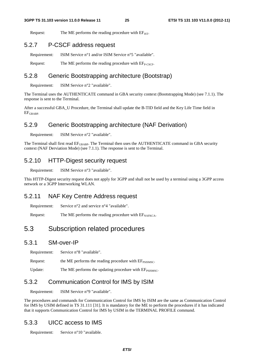Request: The ME performs the reading procedure with  $EF_{\text{IST}}$ .

### 5.2.7 P-CSCF address request

Requirement: ISIM Service n°1 and/or ISIM Service n°5 "available".

Request: The ME performs the reading procedure with  $EF_{P\text{-}CSCF}$ .

#### 5.2.8 Generic Bootstrapping architecture (Bootstrap)

Requirement: ISIM Service n°2 "available".

The Terminal uses the AUTHENTICATE command in GBA security context (Bootstrapping Mode) (see 7.1.1). The response is sent to the Terminal.

After a successful GBA\_U Procedure, the Terminal shall update the B-TID field and the Key Life Time field in EFGBABP.

### 5.2.9 Generic Bootstrapping architecture (NAF Derivation)

Requirement: ISIM Service n°2 "available".

The Terminal shall first read  $E_{\text{GRABP}}$ . The Terminal then uses the AUTHENTICATE command in GBA security context (NAF Derviation Mode) (see 7.1.1). The response is sent to the Terminal.

### 5.2.10 HTTP-Digest security request

Requirement: ISIM Service n°3 "available".

This HTTP-Digest security request does not apply for 3GPP and shall not be used by a terminal using a 3GPP access network or a 3GPP Interworking WLAN.

### 5.2.11 NAF Key Centre Address request

Requirement: Service n°2 and service n°4 "available".

Request: The ME performs the reading procedure with  $EF_{NAFKCA}$ .

### 5.3 Subscription related procedures

### 5.3.1 SM-over-IP

Requirement: Service n°8 "available".

Request: the ME performs the reading procedure with  $EF_{\text{PSISMSC}}$ .

Update: The ME performs the updating procedure with  $EF_{\text{PSISMSC}}$ .

### 5.3.2 Communication Control for IMS by ISIM

Requirement: ISIM Service n°9 "available".

The procedures and commands for Communication Control for IMS by ISIM are the same as Communication Control for IMS by USIM defined in TS 31.111 [31]. It is mandatory for the ME to perform the procedures if it has indicated that it supports Communication Control for IMS by USIM in the TERMINAL PROFILE command.

### 5.3.3 UICC access to IMS

Requirement: Service n°10 "available.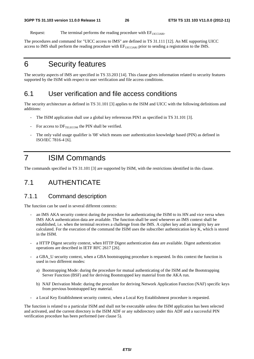Request: The terminal performs the reading procedure with EFUICCIARI.

The procedures and command for "UICC access to IMS" are defined in TS 31.111 [12]. An ME supporting UICC access to IMS shall perform the reading procedure with  $E_{\text{FUCCIARI}}$  prior to sending a registration to the IMS.

## 6 Security features

The security aspects of IMS are specified in TS 33.203 [14]. This clause gives information related to security features supported by the ISIM with respect to user verification and file access conditions.

## 6.1 User verification and file access conditions

The security architecture as defined in TS 31.101 [3] applies to the ISIM and UICC with the following definitions and additions:

- The ISIM application shall use a global key referenceas PIN1 as specified in TS 31.101 [3].
- For access to  $DF_{TELECOM}$  the PIN shall be verified.
- The only valid usage qualifier is '08' which means user authentication knowledge based (PIN) as defined in ISO/IEC 7816-4 [6].

## 7 ISIM Commands

The commands specified in TS 31.101 [3] are supported by ISIM, with the restrictions identified in this clause.

### 7.1 AUTHENTICATE

### 7.1.1 Command description

The function can be used in several different contexts:

- an IMS AKA security context during the procedure for authenticating the ISIM to its HN and vice versa when IMS AKA authentication data are available. The function shall be used whenever an IMS context shall be established, i.e. when the terminal receives a challenge from the IMS. A cipher key and an integrity key are calculated. For the execution of the command the ISIM uses the subscriber authentication key K, which is stored in the ISIM.
- a HTTP Digest security context, when HTTP Digest authentication data are available. Digest authentication operations are described in IETF RFC 2617 [26].
- a GBA\_U security context, when a GBA bootstrapping procedure is requested. In this context the function is used in two different modes:
	- a) Bootstrapping Mode: during the procedure for mutual authenticating of the ISIM and the Bootstrapping Server Function (BSF) and for deriving Bootstrapped key material from the AKA run.
	- b) NAF Derivation Mode: during the procedure for deriving Network Application Function (NAF) specific keys from previous bootstrapped key material.
- a Local Key Establishment security context, when a Local Key Establishment procedure is requested.

The function is related to a particular ISIM and shall not be executable unless the ISIM application has been selected and activated, and the current directory is the ISIM ADF or any subdirectory under this ADF and a successful PIN verification procedure has been performed (see clause 5).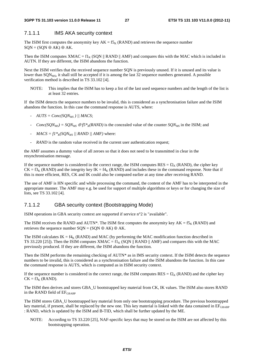#### 7.1.1.1 IMS AKA security context

The ISIM first computes the anonymity key  $AK = f_{K}$  (RAND) and retrieves the sequence number  $SQN = (SQN \oplus AK) \oplus AK$ .

Then the ISIM computes XMAC =  $f1_K$  (SQN || RAND || AMF) and compares this with the MAC which is included in AUTN. If they are different, the ISIM abandons the function.

Next the ISIM verifies that the received sequence number SQN is previously unused. If it is unused and its value is lower than  $SQN<sub>MS</sub>$ , it shall still be accepted if it is among the last 32 sequence numbers generated. A possible verification method is described in TS 33.102 [4].

NOTE: This implies that the ISIM has to keep a list of the last used sequence numbers and the length of the list is at least 32 entries.

If the ISIM detects the sequence numbers to be invalid, this is considered as a synchronisation failure and the ISIM abandons the function. In this case the command response is AUTS, where:

- $AUTS = Conc(SON<sub>MS</sub>)$  || MACS;
- *Conc(SQN<sub>MS</sub>) = SQN<sub>MS</sub>*  $\oplus$  *f5\*<sub>K</sub>(RAND)* is the concealed value of the counter *SQN<sub>MS</sub>* in the ISIM; and
- $MACS = f1*_{K}(SON_{MS} / | RANDOM, AMF)$  where:
- *RAND* is the random value received in the current user authentication request;

the AMF assumes a dummy value of all zeroes so that it does not need to be transmitted in clear in the resynchronisation message.

If the sequence number is considered in the correct range, the ISIM computes  $RES = f2<sub>K</sub>$  (RAND), the cipher key  $CK = f3<sub>K</sub>$  (RAND) and the integrity key IK = f4<sub>K</sub> (RAND) and includes these in the command response. Note that if this is more efficient, RES, CK and IK could also be computed earlier at any time after receiving RAND.

The use of AMF is HN specific and while processing the command, the content of the AMF has to be interpreted in the appropriate manner. The AMF may e.g. be used for support of multiple algorithms or keys or for changing the size of lists, see TS 33.102 [4].

#### 7.1.1.2 GBA security context (Bootstrapping Mode)

ISIM operations in GBA security context are supported if service n°2 is "available".

The ISIM receives the RAND and AUTN\*. The ISIM first computes the anonymity key  $AK = f5<sub>K</sub>$  (RAND) and retrieves the sequence number  $SON = (SON \oplus AK) \oplus AK$ .

The ISIM calculates  $IK = f4_K$  (RAND) and MAC (by performing the MAC modification function described in TS 33.220 [25]). Then the ISIM computes  $XMAC = f1_K (SON || RAND || AMF)$  and compares this with the MAC previously produced. If they are different, the ISIM abandons the function.

Then the ISIM performs the remaining checking of AUTN\* as in IMS security context. If the ISIM detects the sequence numbers to be invalid, this is considered as a synchronisation failure and the ISIM abandons the function. In this case the command response is AUTS, which is computed as in ISIM security context.

If the sequence number is considered in the correct range, the ISIM computes  $RES = f2<sub>K</sub>$  (RAND) and the cipher key  $CK = f3<sub>K</sub>$  (RAND).

The ISIM then derives and stores GBA\_U bootstrapped key material from CK, IK values. The ISIM also stores RAND in the RAND field of  $EF_{\text{GRARP}}$ 

The ISIM stores GBA\_U bootstrapped key material from only one bootstrapping procedure. The previous bootstrapped key material, if present, shall be replaced by the new one. This key material is linked with the data contained in  $E_{\text{GRARP}}$ : RAND, which is updated by the ISIM and B-TID, which shall be further updated by the ME.

NOTE: According to TS 33.220 [25], NAF-specific keys that may be stored on the ISIM are not affected by this bootstrapping operation.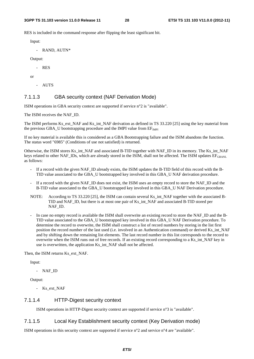RES is included in the command response after flipping the least significant bit.

Input:

- RAND, AUTN\*

Output:

- RES

or

- AUTS

#### 7.1.1.3 GBA security context (NAF Derivation Mode)

ISIM operations in GBA security context are supported if service n°2 is "available".

The ISIM receives the NAF\_ID.

The ISIM performs Ks\_ext\_NAF and Ks\_int\_NAF derivation as defined in TS 33.220 [25] using the key material from the previous GBA U bootstrapping procedure and the IMPI value from  $EF_{MPI}$ 

If no key material is available this is considered as a GBA Bootstrapping failure and the ISIM abandons the function. The status word "6985" (Conditions of use not satisfied) is returned.

Otherwise, the ISIM stores Ks\_int\_NAF and associated B-TID together with NAF\_ID in its memory. The Ks\_int\_NAF keys related to other NAF\_IDs, which are already stored in the ISIM, shall not be affected. The ISIM updates  $EF_{GBANL}$ as follows:

- If a record with the given NAF\_ID already exists, the ISIM updates the B-TID field of this record with the B-TID value associated to the GBA\_U bootstrapped key involved in this GBA\_U NAF derivation procedure.
- If a record with the given NAF\_ID does not exist, the ISIM uses an empty record to store the NAF\_ID and the B-TID value associated to the GBA\_U bootstrapped key involved in this GBA\_U NAF Derivation procedure.
- NOTE: According to TS 33.220 [25], the ISIM can contain several Ks\_int\_NAF together with the associated B-TID and NAF\_ID, but there is at most one pair of Ks\_int\_NAF and associated B-TID stored per NAF\_ID.
- In case no empty record is available the ISIM shall overwrite an existing record to store the NAF\_ID and the B-TID value associated to the GBA\_U bootstrapped key involved in this GBA\_U NAF Derivation procedure. To determine the record to overwrite, the ISIM shall construct a list of record numbers by storing in the list first position the record number of the last used (i.e. involved in an Authentication command) or derived Ks int\_NAF and by shifting down the remaining list elements. The last record number in this list corresponds to the record to overwrite when the ISIM runs out of free records. If an existing record corresponding to a Ks\_int\_NAF key in use is overwritten, the application Ks\_int\_NAF shall not be affected.

Then, the ISIM returns Ks\_ext\_NAF.

Input:

- NAF\_ID

Output:

Ks\_ext\_NAF

#### 7.1.1.4 HTTP-Digest security context

ISIM operations in HTTP-Digest security context are supported if service n°3 is "available".

#### 7.1.1.5 Local Key Establishment security context (Key Derivation mode)

ISIM operations in this security context are supported if service n°2 and service n°4 are "available".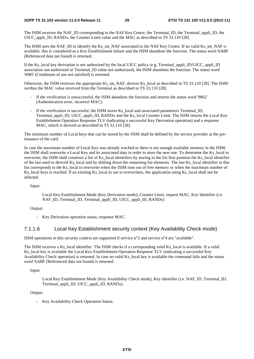The ISIM receives the NAF\_ID corresponding to the NAF Key Centre, the Terminal\_ID, the Terminal\_appli\_ID, the UICC\_appli\_ID, RANDx, the Counter Limit value and the MAC as described in TS 33.110 [28].

The ISIM uses the NAF\_ID to identify the Ks\_int\_NAF associated to the NAF Key Centre. If no valid Ks\_int\_NAF is available, this is considered as a Key Establishment failure and the ISIM abandons the function. The status word '6A88' (Referenced data not found) is returned.

If the Ks local key derivation is not authorized by the local UICC policy (e.g. Terminal appli ID/UICC appli ID association not authorized or Terminal\_ID value not authorized), the ISIM abandons the function. The status word '6985' (Conditions of use not satisfied) is returned.

Otherwise, the ISIM retrieves the appropriate Ks\_int\_NAF, derives Ks\_local as described in TS 33.110 [28]. The ISIM verifies the MAC value received from the Terminal as described in TS 33.110 [28]:

- If the verification is unsuccessful, the ISIM abandons the function and returns the status word '9862' (Authentication error, incorrect MAC).
- If the verification is successful, the ISIM stores Ks\_local and associated parameters Terminal\_ID, Terminal\_appli\_ID, UICC\_appli\_ID, RANDx and the Ks\_local Counter Limit. The ISIM returns the Local Key Establishment Operation Response TLV (indicating a successful Key Derivation operation) and a response MAC, which is derived as described in TS 33.110 [28].

The minimum number of Local keys that can be stored by the ISIM shall be defined by the service provider at the preissuance of the card.

In case the maximum number of Local Key was already reached or there is not enough available memory in the ISIM, the ISIM shall overwrite a Local Key and its associated data in order to store the new one. To determine the Ks\_local to overwrite, the ISIM shall construct a list of Ks\_local identifiers by storing in the list first position the Ks\_local identifier of the last used or derived Ks\_local and by shifting down the remaining list elements. The last Ks\_local identifier in this list corresponds to the Ks\_local to overwrite when the ISIM runs out of free memory or when the maximum number of Ks local keys is reached. If an existing Ks local in use is overwritten, the application using Ks local shall not be affected.

Input:

 Local Key Establishment Mode (Key Derivation mode), Counter Limit, request MAC, Key Identifier (i.e. NAF\_ID, Terminal\_ID, Terminal\_appli\_ID, UICC\_appli\_ID, RANDx)

Output:

- Key Derivation operation status, response MAC.

#### 7.1.1.6 Local Key Establishment security context (Key Availability Check mode)

ISIM operations in this security context are supported if service n°2 and service n°4 are "available".

The ISIM receives a Ks\_local identifier. The ISIM checks if a corresponding valid Ks\_local is available. If a valid Ks\_local key is available the Local Key Establishment Operation Response TLV (indicating a successful Key Availability Check operation) is returned. In case no valid Ks\_local key is available the command fails and the status word '6A88' (Referenced data not found) is returned.

Input:

 Local Key Establishment Mode (Key Availability Check mode), Key identifier (i.e. NAF\_ID, Terminal\_ID, Terminal\_appli\_ID, UICC\_appli\_ID, RANDx).

Output:

- Key Availability Check Operation Status.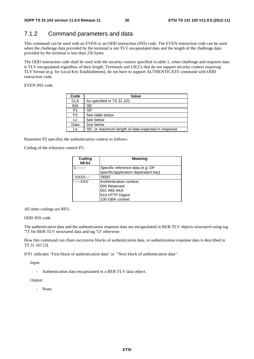### 7.1.2 Command parameters and data

This command can be used with an EVEN or an ODD instruction (INS) code. The EVEN instruction code can be used when the challenge data provided by the terminal is not TLV encapsulated data and the length of the challenge data provided by the terminal is less than 256 bytes.

The ODD instruction code shall be used with the security context specified in table 1, when challenge and response data is TLV encapsulated regardless of their length. Terminals and UICCs that do not support security context requiring TLV format (e.g. for Local Key Establishment), do not have to support AUTHENTICATE command with ODD instruction code.

EVEN INS code

| Code           | Value                                                |
|----------------|------------------------------------------------------|
| <b>CLA</b>     | As specified in TS 31.101                            |
| <b>INS</b>     | '88'                                                 |
| P1             | '00'                                                 |
| P <sub>2</sub> | See table below                                      |
| Lc             | See below                                            |
| Data           | See below                                            |
| Le             | '00', or maximum length of data expected in response |

Parameter P2 specifies the authentication context as follows:

Coding of the reference control P2:

| Coding<br>$b8-b1$ | <b>Meaning</b>                      |
|-------------------|-------------------------------------|
| 14                | Specific reference data (e.g. DF    |
|                   | specific/application dependant key) |
| '-XXXX---'        | '0000'                              |
| '-----XXX'        | Authentication context:             |
|                   | 000 Reserved                        |
|                   | 001 IMS AKA                         |
|                   | 010 HTTP Digest                     |
|                   | 100 GBA context                     |

All other codings are RFU.

#### ODD INS code

The authentication data and the authentication response data are encapsulated in BER-TLV objects structured using tag '73' for BER-TLV structured data and tag '53' otherwise.

How this command can chain successive blocks of authentication data, or authentication response data is described in TS 31 101 [3].

If P1 indicates "First block of authentication data" or "Next block of authentication data":

Input:

Authentication data encapsulated in a BER-TLV data object.

Output:

- None.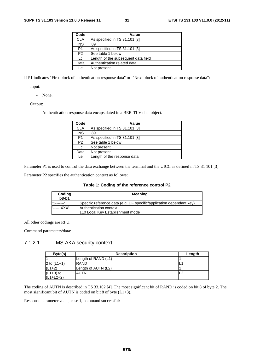| Code           | Value                               |
|----------------|-------------------------------------|
| <b>CLA</b>     | As specified in TS 31.101 [3]       |
| <b>INS</b>     | '89'                                |
| P1             | As specified in TS 31.101 [3]       |
| P <sub>2</sub> | See table 1 below                   |
| Lc             | Length of the subsequent data field |
| Data           | Authentication related data         |
| Le             | Not present                         |

If P1 indicates "First block of authentication response data" or "Next block of authentication response data":

Input:

- None.

Output:

- Authentication response data encapsulated in a BER-TLV data object.

| Code           | <b>Value</b>                  |
|----------------|-------------------------------|
| <b>CLA</b>     | As specified in TS 31.101 [3] |
| <b>INS</b>     | '89'                          |
| P <sub>1</sub> | As specified in TS 31.101 [3] |
| P <sub>2</sub> | See table 1 below             |
| Lc             | Not present                   |
| Data           | Not present                   |
| Le             | Length of the response data   |

Parameter P1 is used to control the data exchange between the terminal and the UICC as defined in TS 31 101 [3].

Parameter P2 specifies the authentication context as follows:

#### **Table 1: Coding of the reference control P2**

| Coding<br>$b8-b1$ | <b>Meaning</b>                                                        |
|-------------------|-----------------------------------------------------------------------|
|                   | (Specific reference data (e.g. DF specific/application dependant key) |
| '----- XXX'       | Authentication context:                                               |
|                   | 110 Local Key Establishment mode                                      |

All other codings are RFU.

Command parameters/data:

#### 7.1.2.1 IMS AKA security context

| Byte(s)       | <b>Description</b>  | Length     |
|---------------|---------------------|------------|
|               | Length of RAND (L1) |            |
| 2 to $(L1+1)$ | RAND                |            |
| $(L1+2)$      | Length of AUTN (L2) |            |
| $(L1+3)$ to   | <b>AUTN</b>         | $\sqrt{2}$ |
| $(L1+L2+2)$   |                     |            |

The coding of AUTN is described in TS 33.102 [4]. The most significant bit of RAND is coded on bit 8 of byte 2. The most significant bit of AUTN is coded on bit 8 of byte (L1+3).

Response parameters/data, case 1, command successful: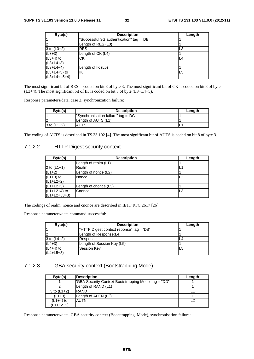| Byte(s)        | <b>Description</b>                        | Length |
|----------------|-------------------------------------------|--------|
|                | "Successful 3G authentication" tag = 'DB' |        |
| $\overline{2}$ | Length of RES (L3)                        |        |
| 3 to $(L3+2)$  | <b>RES</b>                                | L3     |
| $(L3+3)$       | Length of CK (L4)                         |        |
| $(L3+4)$ to    | СK                                        | L4     |
| $(L3+L4+3)$    |                                           |        |
| $(L3+L4+4)$    | Length of $IK(L5)$                        |        |
| $(L3+L4+5)$ to | ΙK                                        | L5     |
| $(L3+L4+L5+4)$ |                                           |        |

The most significant bit of RES is coded on bit 8 of byte 3. The most significant bit of CK is coded on bit 8 of byte  $(L3+4)$ . The most significant bit of IK is coded on bit 8 of byte  $(L3+L4+5)$ .

Response parameters/data, case 2, synchronization failure:

| Byte(s)       | <b>Description</b>                   | Length |
|---------------|--------------------------------------|--------|
|               | "Synchronisation failure" tag = 'DC' |        |
| $\sim$        | Length of AUTS (L1)                  |        |
| 3 to $(L1+2)$ | <b>AUTS</b>                          |        |

The coding of AUTS is described in TS 33.102 [4]. The most significant bit of AUTS is coded on bit 8 of byte 3.

#### 7.1.2.2 HTTP Digest security context

| Byte(s)        | <b>Description</b>    | Length |
|----------------|-----------------------|--------|
|                | Length of realm (L1)  |        |
| 2 to $(L1+1)$  | Realm                 |        |
| $(L1+2)$       | Length of nonce (L2)  |        |
| $(L1+3)$ to    | Nonce                 | L2     |
| $(L1+L2+2)$    |                       |        |
| $(L1+L2+3)$    | Length of cnonce (L3) |        |
| $(L1+L2+4)$ to | Cnonce                | IL3    |
| $(L1+L2+L3+3)$ |                       |        |

The codings of realm, nonce and cnonce are described in IETF RFC 2617 [26].

Response parameters/data command successful:

| Byte(s)       | <b>Description</b>                       | Length |
|---------------|------------------------------------------|--------|
|               | "HTTP Digest context reponse" tag = 'DB' |        |
|               | Length of Response(L4)                   |        |
| 3 to $(L4+2)$ | Response                                 | L4     |
| $(L4+3)$      | Length of Session Key (L5)               |        |
| $(L4+4)$ to   | <b>Session Key</b>                       | L5     |
| $(L4+L5+3)$   |                                          |        |

#### 7.1.2.3 GBA security context (Bootstrapping Mode)

| Byte(s)       | <b>Description</b>                                   | Length |
|---------------|------------------------------------------------------|--------|
|               | "GBA Security Context Bootstrapping Mode' tag = "DD" |        |
|               | Length of RAND (L1)                                  |        |
| 3 to $(L1+2)$ | RAND                                                 |        |
| $(L1+3)$      | Length of AUTN (L2)                                  |        |
| $(L1+4)$ to   | <b>AUTN</b>                                          | ່າ     |
| (L1+L2+3)     |                                                      |        |

Response parameters/data, GBA security context (Bootstrapping Mode), synchronisation failure: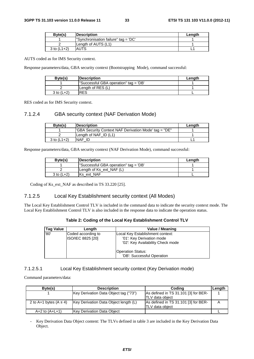| Byte(s)       | <b>Description</b>                   | Length |
|---------------|--------------------------------------|--------|
|               | "Synchronisation failure" tag = 'DC' |        |
|               | Length of AUTS (L1)                  |        |
| 3 to $(L1+2)$ | <b>AUTS</b>                          |        |

AUTS coded as for IMS Security context.

Response parameters/data, GBA security context (Bootstrapping Mode), command successful:

| Byte(s)        | <b>Description</b>                    | Length |
|----------------|---------------------------------------|--------|
|                | "Successful GBA operation" tag = 'DB' |        |
|                | Length of RES (L)                     |        |
| $3$ to $(L+2)$ | IRES                                  |        |

RES coded as for IMS Security context.

#### 7.1.2.4 GBA security context (NAF Derivation Mode)

| Byte(s)         | <b>Description</b>                                    | Length |
|-----------------|-------------------------------------------------------|--------|
|                 | "GBA Security Context NAF Derivation Mode' tag = "DE" |        |
|                 | Length of NAF $ID(L1)$                                |        |
| $3$ to $(L1+2)$ | NAF ID                                                |        |

Response parameters/data, GBA security context (NAF Derivation Mode), command successful:

| Byte(s)        | <b>Description</b>                    | Length |
|----------------|---------------------------------------|--------|
|                | "Successful GBA operation" tag = 'DB' |        |
|                | Length of Ks ext NAF (L)              |        |
| $3$ to $(L+2)$ | Ks ext NAF                            |        |

Coding of Ks\_ext\_NAF as described in TS 33.220 [25].

#### 7.1.2.5 Local Key Establishment security context (All Modes)

The Local Key Establishment Control TLV is included in the command data to indicate the security context mode. The Local Key Establishment Control TLV is also included in the response data to indicate the operation status.

| Table 2: Coding of the Local Key Establishment Control TLV |  |
|------------------------------------------------------------|--|
|------------------------------------------------------------|--|

| <b>Tag Value</b> | Length                                  | Value / Meaning                                                                                    |
|------------------|-----------------------------------------|----------------------------------------------------------------------------------------------------|
| '80'             | Coded according to<br>ISO/IEC 8825 [20] | Local Key Establishment context:<br>'01': Key Derivation mode<br>'02': Key Availability Check mode |
|                  |                                         | <b>Operation Status:</b><br>'DB': Successful Operation                                             |

#### 7.1.2.5.1 Local Key Establishment security context (Key Derivation mode)

Command parameters/data:

| Byte(s)                    | <b>Description</b>                    | Coding                               | Length |
|----------------------------|---------------------------------------|--------------------------------------|--------|
|                            | Key Derivation Data Object tag ("73") | As defined in TS 31.101 [3] for BER- |        |
|                            |                                       | <b>TLV</b> data object               |        |
| 2 to A+1 bytes $(A \le 4)$ | Key Derivation Data Object length (L) | As defined in TS 31.101 [3] for BER- |        |
|                            |                                       | ITLV data obiect                     |        |
| $A + 2$ to $(A + L + 1)$   | Key Derivation Data Object            |                                      |        |

- Key Derivation Data Object content: The TLVs defined in table 3 are included in the Key Derivation Data Object.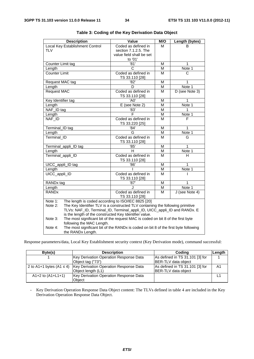| <b>Description</b>                                                                             | Value                                                                           | M/O    | Length (bytes)             |
|------------------------------------------------------------------------------------------------|---------------------------------------------------------------------------------|--------|----------------------------|
| Local Key Establishment Control                                                                | Coded as defined in                                                             | м      | ĸ                          |
| <b>TLV</b>                                                                                     | section 7.1.2.5. The                                                            |        |                            |
|                                                                                                | value field shall be set                                                        |        |                            |
|                                                                                                | to '01'                                                                         |        |                            |
| Counter Limit tag                                                                              | $\overline{81}$                                                                 | м      | 1                          |
| Length                                                                                         | C                                                                               | M      | Note 1                     |
| <b>Counter Limit</b>                                                                           | Coded as defined in                                                             | М      | C                          |
| Request MAC tag                                                                                | TS 33.110 [28]<br>'82'                                                          | M      | 1                          |
| Length                                                                                         | D                                                                               | M      | Note 1                     |
| <b>Request MAC</b>                                                                             | Coded as defined in                                                             | М      | D (see Note 3)             |
|                                                                                                | TS 33.110 [28]                                                                  |        |                            |
| Key Identifier tag                                                                             | 'A0'                                                                            | M      | 1                          |
| Length                                                                                         | E (see Note 2)                                                                  | M      | Note 1                     |
| NAF_ID tag                                                                                     | $\overline{83}$                                                                 | М      | 1                          |
| Length                                                                                         | $\overline{\mathsf{F}}$                                                         | M      | Note 1                     |
| NAF_ID                                                                                         | Coded as defined in<br>TS 33.220 [25]                                           | M      | F                          |
| Terminal_ID tag                                                                                | '84'                                                                            | М      | 1                          |
| Length                                                                                         | G                                                                               | M      | Note 1                     |
| Terminal ID                                                                                    | Coded as defined in                                                             | M      | G                          |
|                                                                                                | TS 33.110 [28]                                                                  |        |                            |
| Terminal_appli_ID tag                                                                          | '85'                                                                            | М      | 1                          |
| Length                                                                                         | н                                                                               | M      | Note 1                     |
| Terminal_appli_ID                                                                              | Coded as defined in                                                             | M      | н                          |
|                                                                                                | TS 33.110 [28]                                                                  |        | 1                          |
| UICC_appli_ID tag                                                                              | '86'                                                                            | М<br>М | $\overline{\text{Note}}$ 1 |
| Length<br>UICC_appli_ID                                                                        | Coded as defined in                                                             | M      |                            |
|                                                                                                | TS 33.110 [28]                                                                  |        | I                          |
| RANDx tag                                                                                      | '87'                                                                            | M      | 1                          |
| Length                                                                                         | J                                                                               | м      | Note 1                     |
| <b>RANDx</b>                                                                                   | Coded as defined in                                                             | M      | J (see Note 4)             |
|                                                                                                | TS 33.110 [28]                                                                  |        |                            |
| The length is coded according to ISO/IEC 8825 [20]<br>Note 1:                                  |                                                                                 |        |                            |
| The Key Identifier TLV is a constructed TLV containing the following primitive<br>Note 2:      |                                                                                 |        |                            |
|                                                                                                | TLVs: NAF_ID, Terminal_ID, Terminal_appli_ID, UICC_appli_ID and RANDx. E        |        |                            |
|                                                                                                | is the length of the constructed Key Identifier value.                          |        |                            |
| Note 3:                                                                                        | The most significant bit of the request MAC is coded on bit 8 of the first byte |        |                            |
|                                                                                                | following the MAC Length.                                                       |        |                            |
| The most significant bit of the RANDx is coded on bit 8 of the first byte following<br>Note 4: |                                                                                 |        |                            |
| the RANDx Length.                                                                              |                                                                                 |        |                            |

| Table 3: Coding of the Key Derivation Data Object |  |
|---------------------------------------------------|--|
|---------------------------------------------------|--|

Response parameters/data, Local Key Establishment security context (Key Derivation mode), command successful:

| Byte(s)                      | <b>Description</b>                                           | Coding                                                 | Length |
|------------------------------|--------------------------------------------------------------|--------------------------------------------------------|--------|
|                              | Key Derivation Operation Response Data<br>Object tag ("73")  | As defined in TS 31.101 [3] for<br>BER-TLV data object |        |
| 2 to A1+1 bytes $(A1 \le 4)$ | Key Derivation Operation Response Data<br>Object length (L1) | As defined in TS 31.101 [3] for<br>BER-TLV data object | A1     |
| A1+2 to $(A1+L1+1)$          | Key Derivation Operation Response Data<br>Obiect             |                                                        |        |

- Key Derivation Operation Response Data Object content: The TLVs defined in table 4 are included in the Key Derivation Operation Response Data Object.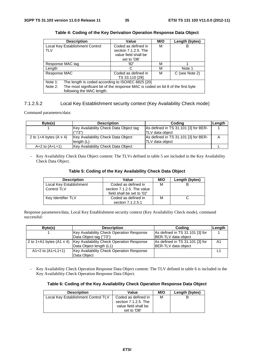| <b>Description</b>                                                                          | Value                   | M/O | Length (bytes) |
|---------------------------------------------------------------------------------------------|-------------------------|-----|----------------|
| Local Key Establishment Control                                                             | Coded as defined in     | М   | в              |
| <b>TLV</b>                                                                                  | section $7.1.2.5$ . The |     |                |
|                                                                                             | value field shall be    |     |                |
|                                                                                             | set to 'DB'             |     |                |
| Response MAC tag                                                                            | '82'                    | м   |                |
| Length                                                                                      | C                       | М   | Note 1         |
| Response MAC                                                                                | Coded as defined in     | М   | C (see Note 2) |
|                                                                                             | TS 33.110 [28]          |     |                |
| Note 1:<br>The length is coded according to ISO/IEC 8825 [20]                               |                         |     |                |
| The most significant bit of the response MAC is coded on bit 8 of the first byte<br>Note 2: |                         |     |                |
| following the MAC length.                                                                   |                         |     |                |

#### **Table 4: Coding of the Key Derivation Operation Response Data Object**

#### 7.1.2.5.2 Local Key Establishment security context (Key Availability Check mode)

Command parameters/data:

| Byte(s)                    | <b>Description</b>                     | Codina                               | Length |
|----------------------------|----------------------------------------|--------------------------------------|--------|
|                            | Key Availability Check Data Object tag | As defined in TS 31.101 [3] for BER- |        |
|                            | ("73")                                 | <b>ITLV</b> data obiect              |        |
| 2 to 1+A bytes $(A \le 4)$ | Key Availability Check Data Object     | As defined in TS 31.101 [3] for BER- |        |
|                            | length $(L)$                           | ITLV data obiect                     |        |
| $A + 2$ to $(A + L + 1)$   | Key Availability Check Data Object     |                                      |        |

Key Availability Check Data Object content: The TLVs defined in table 5 are included in the Key Availability Check Data Object.

| Table 5: Coding of the Key Availability Check Data Object |  |  |  |  |
|-----------------------------------------------------------|--|--|--|--|
|-----------------------------------------------------------|--|--|--|--|

| <b>Description</b>      | Value                      | M/O | Length (bytes) |
|-------------------------|----------------------------|-----|----------------|
| Local Key Establishment | Coded as defined in        | M   |                |
| Control TLV             | section 7.1.2.5. The value |     |                |
|                         | field shall be set to '02' |     |                |
| Key Identifier TLV      | Coded as defined in        | м   |                |
|                         | section 7.1.2.5.1          |     |                |

Response parameters/data, Local Key Establishment security context (Key Availability Check mode), command successful:

| Byte(s)               | <b>Description</b>                                                        | Codina                          | Length |
|-----------------------|---------------------------------------------------------------------------|---------------------------------|--------|
|                       | Key Availability Check Operation Response                                 | As defined in TS 31.101 [3] for |        |
|                       | Data Object tag ("73")                                                    | BER-TLV data object             |        |
|                       | 2 to 1+A1 bytes (A1 $\leq$ 4)   Key Availability Check Operation Response | As defined in TS 31.101 [3] for | A1     |
|                       | Data Object length (L1)                                                   | IBER-TLV data obiect            |        |
| $A1+2$ to $(A1+L1+1)$ | Key Availability Check Operation Response                                 |                                 |        |
|                       | Data Object                                                               |                                 |        |

- Key Availability Check Operation Response Data Object content: The TLV defined in table 6 is included in the Key Availability Check Operation Response Data Object.

#### **Table 6: Coding of the Key Availability Check Operation Response Data Object**

| <b>Description</b>                  | Value                                                                                 | M/O | Length (bytes) |
|-------------------------------------|---------------------------------------------------------------------------------------|-----|----------------|
| Local Key Establishment Control TLV | Coded as defined in<br>section $7.1.2.5$ . The<br>value field shall be<br>set to 'DB' | м   |                |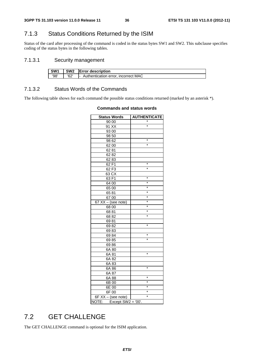### 7.1.3 Status Conditions Returned by the ISIM

Status of the card after processing of the command is coded in the status bytes SW1 and SW2. This subclause specifies coding of the status bytes in the following tables.

### 7.1.3.1 Security management

| SW <sub>1</sub> | SW <sub>2</sub> | <b>Error description</b>            |
|-----------------|-----------------|-------------------------------------|
| '98'            | '62'            | Authentication error, incorrect MAC |

#### 7.1.3.2 Status Words of the Commands

The following table shows for each command the possible status conditions returned (marked by an asterisk \*).

| <b>Status Words</b>             | <b>AUTHENTICATE</b> |
|---------------------------------|---------------------|
| 90 00                           |                     |
| 91 XX                           | $\ast$              |
| 93 00                           |                     |
| 98 50                           |                     |
| 98 62                           | *                   |
| 62 00                           | $\star$             |
| 6281                            |                     |
| 6282                            |                     |
| 6283                            |                     |
| 62 F1                           | *                   |
| 62 F3                           | $\star$             |
| 63 CX                           |                     |
| 63 F1                           | *                   |
| 64 00                           | $\star$             |
| 65 00                           | $\star$             |
| 6581                            | *                   |
| 6700                            | $\star$             |
| $\overline{67}$ XX – (see note) | $\star$             |
| 68 00                           | $\star$             |
| 6881                            | *                   |
| 6882                            | $\star$             |
| 6981                            |                     |
| 6982                            | $\star$             |
| 6983                            |                     |
| 6984                            | *                   |
| 6985                            | $\star$             |
| 6986                            |                     |
| 6A 80                           |                     |
| 6A 81                           | $\star$             |
| 6A 82                           |                     |
| 6A 83                           |                     |
| 6A 86                           | *                   |
| 6A 87                           |                     |
| 6A 88                           | $\star$             |
| 6B 00                           | *                   |
| 6E 00                           | *                   |
| 6F00                            | $\star$             |
| 6F XX - (see note)              | $\ast$              |
| NOTE:<br>Except $SW2 = '00'.$   |                     |

#### **Commands and status words**

## 7.2 GET CHALLENGE

The GET CHALLENGE command is optional for the ISIM application.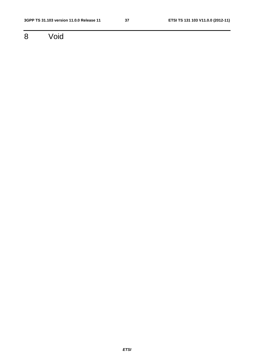8 Void

*ETSI*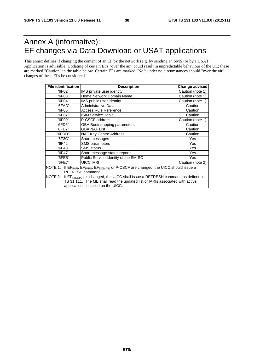## Annex A (informative): EF changes via Data Download or USAT applications

This annex defines if changing the content of an EF by the network (e.g. by sending an SMS) or by a USAT Application is advisable. Updating of certain EFs "over the air" could result in unpredictable behaviour of the UE; these are marked "Caution" in the table below. Certain EFs are marked "No"; under no circumstances should "over the air" changes of these EFs be considered.

| <b>File identification</b>                                                                                                                                                                                                    | <b>Description</b><br><b>Change advised</b> |                  |  |  |  |  |
|-------------------------------------------------------------------------------------------------------------------------------------------------------------------------------------------------------------------------------|---------------------------------------------|------------------|--|--|--|--|
| '6F02'                                                                                                                                                                                                                        | IMS private user identity                   | Caution (note 1) |  |  |  |  |
| '6F03'                                                                                                                                                                                                                        | Home Network Domain Name                    | Caution (note 1) |  |  |  |  |
| '6F04'                                                                                                                                                                                                                        | IMS public user identity                    | Caution (note 1) |  |  |  |  |
| '6FAD'                                                                                                                                                                                                                        | Administrative Data                         | Caution          |  |  |  |  |
| '6F06'                                                                                                                                                                                                                        | Access Rule Reference                       | Caution          |  |  |  |  |
| "6F07"                                                                                                                                                                                                                        | ISIM Service Table                          | Caution          |  |  |  |  |
| "6F09"                                                                                                                                                                                                                        | P-CSCF address                              | Caution (note 1) |  |  |  |  |
| '6FD5"                                                                                                                                                                                                                        | GBA Bootstrapping parameters                | Caution          |  |  |  |  |
| '6FD7"                                                                                                                                                                                                                        | GBA NAF List                                | Caution          |  |  |  |  |
| '6FDD"                                                                                                                                                                                                                        | NAF Key Centre Address                      | Caution          |  |  |  |  |
| '6F3C'                                                                                                                                                                                                                        | Short messages                              | Yes              |  |  |  |  |
| '6F42'                                                                                                                                                                                                                        | <b>SMS parameters</b>                       | Yes              |  |  |  |  |
| '6F43'                                                                                                                                                                                                                        | <b>SMS</b> status                           | Yes              |  |  |  |  |
| '6F47'                                                                                                                                                                                                                        | Short message status reports                | Yes              |  |  |  |  |
| '6FE5'                                                                                                                                                                                                                        | Public Service Identity of the SM-SC        | Yes              |  |  |  |  |
| UICC IARI<br>'6FE7'<br>Caution (note 2)                                                                                                                                                                                       |                                             |                  |  |  |  |  |
| If EF <sub>IMPI</sub> , EF <sub>IMPU</sub> , EF <sub>DOMAIN</sub> or P-CSCF are changed, the UICC should issue a<br>NOTE 1:<br>REFRESH command.                                                                               |                                             |                  |  |  |  |  |
| NOTE 2:<br>If EF <sub>UICCIARI</sub> is changed, the UICC shall issue a REFRESH command as defined in<br>TS 31.111. The ME shall read the updated list of IARIs associated with active<br>applications installed on the UICC. |                                             |                  |  |  |  |  |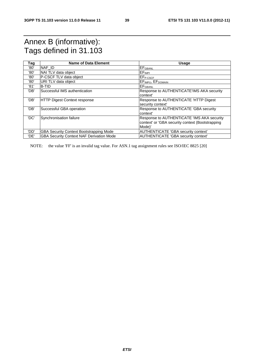## Annex B (informative): Tags defined in 31.103

| Tag  | <b>Name of Data Element</b>                     | <b>Usage</b>                                     |
|------|-------------------------------------------------|--------------------------------------------------|
| '80' | NAF ID                                          | $E$ F $G$ BANL                                   |
| '80' | NAI TLV data object                             | EF <sub>IMPI</sub>                               |
| '80' | P-CSCF TLV data object                          | <b>IEFP-CSCF</b>                                 |
| '80' | URI TLV data object                             | EF <sub>IMPU</sub> , EF <sub>DOMAIN</sub>        |
| '81' | <b>B-TID</b>                                    | <b>IEF</b> GBANL                                 |
| 'DB' | Successful IMS authentication                   | Response to AUTHENTICATE'IMS AKA security        |
|      |                                                 | context'                                         |
| 'DB' | <b>HTTP Digest Context response</b>             | Response to AUTHENTICATE 'HTTP Digest            |
|      |                                                 | security context'                                |
| 'DB' | Successful GBA operation                        | Response to AUTHENTICATE 'GBA security           |
|      |                                                 | context'                                         |
| 'DC' | Synchronisation failure                         | Response to AUTHENTICATE 'IMS AKA security       |
|      |                                                 | context' or 'GBA security context (Bootstrapping |
|      |                                                 | Mode)'                                           |
| 'DD' | <b>GBA Security Context Bootstrapping Mode</b>  | AUTHENTICATE 'GBA security context'              |
| 'DE' | <b>GBA Security Context NAF Derivation Mode</b> | AUTHENTICATE 'GBA security context'              |

NOTE: the value 'FF' is an invalid tag value. For ASN.1 tag assignment rules see ISO/IEC 8825 [20]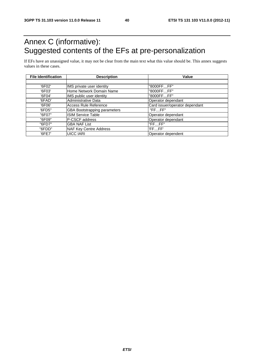## Annex C (informative): Suggested contents of the EFs at pre-personalization

If EFs have an unassigned value, it may not be clear from the main text what this value should be. This annex suggests values in these cases.

| <b>File Identification</b> | <b>Description</b>                  | Value                          |
|----------------------------|-------------------------------------|--------------------------------|
|                            |                                     |                                |
| '6F02'                     | IMS private user identity           | "8000FFFF"                     |
| '6F03'                     | Home Network Domain Name            | "8000FFFF"                     |
| '6F04'                     | IMS public user identity            | "8000FFFF"                     |
| '6FAD'                     | Administrative Data                 | Operator dependant             |
| '6F06'                     | Access Rule Reference               | Card issuer/operator dependant |
| '6FD5"                     | <b>GBA Bootstrapping parameters</b> | "FFFF"                         |
| "6F07"                     | <b>ISIM Service Table</b>           | Operator dependant             |
| "6F09"                     | <b>IP-CSCF address</b>              | Operator dependant             |
| "6FD7"                     | <b>GBA NAF List</b>                 | "FFFF"                         |
| "6FDD"                     | <b>NAF Key Centre Address</b>       | 'FFFF'                         |
| '6FE7'                     | <b>UICC IARI</b>                    | Operator dependent             |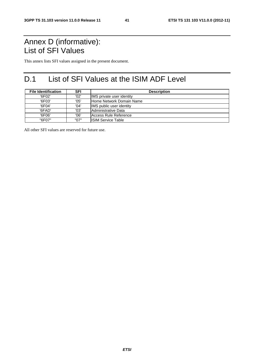## Annex D (informative): List of SFI Values

This annex lists SFI values assigned in the present document.

## D.1 List of SFI Values at the ISIM ADF Level

| <b>File Identification</b> | SFI  | <b>Description</b>        |  |  |  |
|----------------------------|------|---------------------------|--|--|--|
| '6F02'                     | '02' | IMS private user identity |  |  |  |
| '6F03'                     | '05' | lHome Network Domain Name |  |  |  |
| '6F04'                     | '04' | IMS public user identity  |  |  |  |
| '6FAD'                     | '03' | Administrative Data       |  |  |  |
| '6F06'                     | '06' | Access Rule Reference     |  |  |  |
| "6F07"                     | "07" | IISIM Service Table       |  |  |  |

All other SFI values are reserved for future use.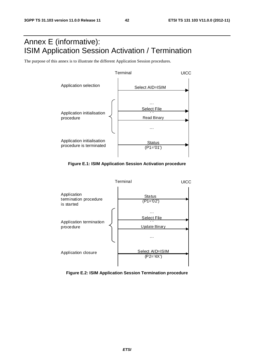## Annex E (informative): ISIM Application Session Activation / Termination

The purpose of this annex is to illustrate the different Application Session procedures.



**Figure E.1: ISIM Application Session Activation procedure** 



**Figure E.2: ISIM Application Session Termination procedure**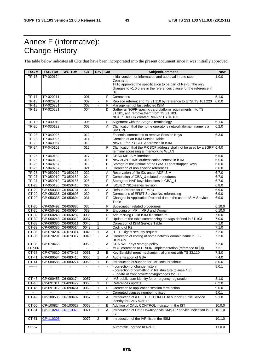## Annex F (informative): Change History

The table below indicates all CRs that have been incorporated into the present document since it was initially approved.

| TSG#         | <b>TSG TD#</b>      | WG TD#                | <b>CR</b>                           | Rev                      | Cat                      | Subject/Comment                                                         | <b>New</b>     |
|--------------|---------------------|-----------------------|-------------------------------------|--------------------------|--------------------------|-------------------------------------------------------------------------|----------------|
| <b>TP-16</b> | TP-020124           |                       |                                     | $\sim$                   | $\sim$                   | Initial version for information and approval in one step                | 1.0.0          |
|              |                     |                       |                                     |                          |                          | Comment:                                                                |                |
|              |                     |                       |                                     |                          |                          | T#16 approved the specification to be part of Rel-5. The only           |                |
|              |                     |                       |                                     |                          |                          | changes to v1.0.0 are in the references clause for the reference in     |                |
|              |                     |                       |                                     |                          |                          | $[16]$                                                                  |                |
| <b>TP-17</b> | TP-020211           | $\blacksquare$        | 001                                 | $\blacksquare$           | F                        | Corrections                                                             | 5.1.0          |
| <b>TP-18</b> | TP-020281           | $\blacksquare$        | 002                                 | $\blacksquare$           | F                        | Replace reference to TS 31.110 by reference to ETSI TS 101 220          | 6.0.0          |
| <b>TP-18</b> | TP-020281           | $\blacksquare$        | 003                                 | ÷,                       | F                        | Management of last selected ISIM                                        |                |
| $TP-18$      | TP-020281           | $\blacksquare$        | 004                                 |                          | D                        | Gather all 3GPP-specific card platform requirements into TS             |                |
|              |                     |                       |                                     |                          |                          | 31.101, and remove them from TS 31.103.                                 |                |
|              |                     |                       |                                     |                          |                          | NOTE: This CR created Rel-6 of TS 31.103.                               |                |
| <b>TP-19</b> | TP-030019           | $\blacksquare$        | 006                                 |                          | F                        | Alignment with the Stage 2 terminology                                  | 6.1.0          |
| <b>TP-20</b> | TP-030122           | $\blacksquare$        | 008                                 |                          | A                        | Clarification that the home operator's network domain name is a         | 6.2.0          |
|              |                     |                       |                                     |                          |                          | SIP URI.                                                                |                |
| <b>TP-23</b> | TP-040025           | $\blacksquare$        | 012                                 |                          |                          | Essential corrections to remove Session Keys                            | 6.3.0          |
| TP-23        | TP-040025           | $\blacksquare$        | 014                                 |                          |                          | Creation of an ISIM Service Table                                       |                |
| <b>TP-23</b> | TP-040067           | $\omega$              | 013                                 |                          |                          | New EF for P-CSCF Addresses in ISIM                                     |                |
| <b>TP-24</b> | TP-040102           | $\blacksquare$        | 015                                 |                          | F                        | Clarification that the P-CSCF address shall not be used by a 3GPP 6.4.0 |                |
|              |                     |                       |                                     |                          |                          | terminal accessing a Interworking WLAN                                  |                |
| <b>TP-25</b> | TP-040182           | $\blacksquare$        | 017                                 |                          | B                        | GBAU ME-ISIM interface                                                  | 6.5.0          |
| <b>TP-25</b> | TP-040182           | $\blacksquare$        | 016                                 |                          | B                        | New 3GPP2 IMS authentication context in ISIM                            | 6.5.0          |
| <b>TP-26</b> | TP-040257           | $\blacksquare$        | 019                                 |                          | В                        | Storage of the lifetime of the GBA_U bootstrapped keys                  | 6.6.0          |
| <b>TP-26</b> | TP-040257           | $\blacksquare$        | 021                                 |                          | F                        | Correction of non specific references                                   | 6.6.0          |
| <b>TP-27</b> |                     | TP-050019 T3-050126   | 022                                 |                          | Α                        | Reservation of file IDs under ADF ISIM                                  | 6.7.0          |
| <b>TP-27</b> |                     | TP-050019   T3-050182 | 024                                 |                          | F                        | Completion of GBA_U-related procedures                                  | 6.7.0          |
| <b>TP-27</b> |                     | TP-050019   T3-050185 | 025                                 |                          | F                        | Storage of NAF-keys identifiers in GBA_U                                | 6.7.0          |
| $CT-28$      |                     | TP-050136 C6-050416   | 027                                 |                          | A                        | ISO/IEC 7816-series revision                                            | 6.8.0          |
| CT-29        | CP-050330 C6-050731 |                       | 029                                 | $\mathbf{1}$             | Α                        | Default Record for EFIMPU                                               | 6.9.0          |
| $CT-29$      |                     | CP-050335 C6-050693   | 030                                 |                          | F                        | Corrections of EFIST Service No. referencing                            | 6.9.0          |
| $CT-29$      |                     | CP-050335 C6-050694   | 031                                 |                          | F                        | Changes in Application Protocol due to the use of ISIM Service          | 6.9.0          |
|              |                     |                       |                                     |                          |                          | Table                                                                   |                |
| CT-30        |                     | CP-050492 C6-050885   | 035                                 |                          | F                        | Subscription related procedures                                         | 6.10.0         |
| CT-30        |                     | CP-050492 C6-050904   | 033                                 |                          | F                        | Encoding of IMPI, IMPU and Domain                                       | 6.10.0         |
| CT-32        |                     | CP-060243 C6-060282   | 0036                                |                          | F                        | Add missing EF in ISIM file structure                                   | 7.0.0          |
| CT-32        |                     | CP-060243 C6-060319   | 0037                                |                          | F                        | Update of the table summarizing the tags defined in 31.103              | 7.0.0          |
| CT-33        |                     | CP-060386 C6-060511   | 0040                                | 1                        |                          | Correction of ISIM Service Table                                        | 7.1.0          |
| CT-33        |                     | CP-060386 C6-060514   | 0043                                | 1                        |                          | Coding of P2                                                            | 7.1.0          |
| CT-36        |                     | CP-070294 C6-070314   | 0045                                | 1                        | A                        | <b>HTTP-Digest security request</b>                                     | 7.2.0          |
| CT-36        |                     | CP-070291 C6-070317   | 0048                                | $\overline{\phantom{a}}$ | A                        | Correction of coding of home network domain name in EF-                 | 7.2.0          |
|              |                     |                       |                                     |                          |                          | <b>DOMAIN</b>                                                           |                |
| CT-36        | CP-070465           |                       | 0050                                | $\blacksquare$           | Α                        | GBA NAF Keys storage policy                                             | 7.2.0          |
| 2007-06      |                     |                       |                                     | $\blacksquare$           | $\blacksquare$           | MCC correction to CR0048 implementation (reference to [9])              | 7.2.1          |
| CT-37        |                     | CP-070620 C6-070418   | 0051                                | $\overline{2}$           | в                        | Key Establishment mechanism: alignment with TS 33.110                   | 7.3.0          |
| CT-41        |                     | CP-080584 C6-080416   | 0055                                | 1                        | Α                        | Authentication of GBA                                                   | 7.4.0          |
| CT-41        |                     | CP-080585 C6-080274   | 0053                                |                          | $\overline{B}$           | Introduction of support for IMS local breakout                          | 8.0.0          |
| -------      |                     |                       |                                     |                          |                          | - correction of change history                                          | 8.0.1          |
|              |                     |                       |                                     |                          |                          | - correction of formatting in file structure (clause 4.3)               |                |
|              |                     |                       |                                     |                          |                          | - update of front cover/copyright/logos for LTE                         |                |
| CT-43        |                     | CP-090453 C6-090174   | 0057                                |                          | Α                        | IMS public user identity for emergency registration                     | 8.1.0          |
| CT-46        | CP-091011           | C6-090479             | 0065                                | 1                        | F                        | References update                                                       | $\sqrt{8.2.0}$ |
| CT-46        |                     | CP-091012 C6-090461   | 0063                                | $\mathbf{1}$             | F                        | Correction to application session termination                           | 9.0.0          |
|              |                     |                       |                                     |                          |                          |                                                                         |                |
| $\sim$       | $\sim$              |                       | $\hspace{0.05cm}$ $\hspace{0.05cm}$ | --                       | $\overline{\phantom{a}}$ | Corrupted clauses numbering fixed                                       | 9.0.1          |
| CT-49        |                     | CP-100585 C6-100402   | 0067                                | 1                        | A                        | Introduction of a DF_TELECOM EF to support Public Service               | 9.1.0          |
|              |                     |                       |                                     |                          |                          | Identity for SMS over IP                                                |                |
| CT-50        |                     | CP-100824 C6-100627   | 0068                                |                          | B                        | Addition of CALL CONTROL indicator in the IST                           | 10.0.0         |
| CT-51        | CP-110241           | C6-110073             | 0071                                | $\mathbf{1}$             | A                        | Introduction of Data Download via SMS-PP service indication in EF       | 10.1.0         |
|              |                     |                       |                                     |                          |                          | IST                                                                     |                |
| CT-51        | CP-110306           |                       | 0072                                | 2                        | в                        | Introduction of the IARI list in the ISIM                               | 10.1.0         |
|              |                     |                       |                                     |                          |                          |                                                                         |                |
| SP-57        |                     |                       |                                     |                          |                          | Automatic upgrade to Rel-11                                             | 11.0.0         |
|              |                     |                       |                                     |                          |                          |                                                                         |                |